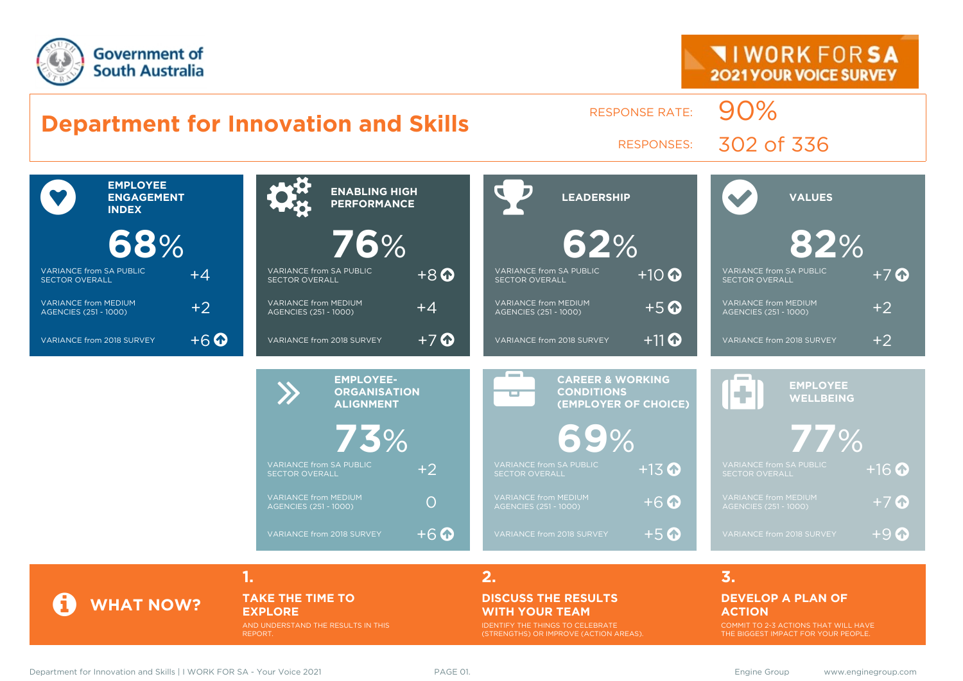

#### **Department for Innovation and Skills** RESPONSE RATE: 90% RESPONSES: 302 of 336  $\bullet$ **EMPLOYEE ENGAGEMENT INDEX 68**% VARIANCE from SA PUBLIC VARIANCE from SA PUBLIC  $+4$ VARIANCE from MEDIUM VARIANCE from MEDIUM  $+2$ VARIANCE from 2018 SURVEY  $+6$ **ENABLING HIGH 76**% VARIANCE from SA PUBLIC  $+8$  O VARIANCE from MEDIUM VARIANCE from MEDIUM  $+A$ VARIANCE from 2018 SURVEY  $+7$  **LEADERSHIP 62**% VARIANCE from SA PUBLIC VARIANCE from SA PUBLIC  $+10$ VARIANCE from MEDIUM VARIANCE from MEDIUM  $+5$   $\odot$ VARIANCE from 2018 SURVEY  $+11$  **VALUES 82**% VARIANCE from SA PUBLIC VARIANCE from SA PUBLIC  $+7$  O VARIANCE from MEDIUM VARIANCE from MEDIUM  $+2$ VARIANCE from 2018 SURVEY  $+2$ EMPLOYEE-<br> **CORGANISAT**<br>
ALIGNMENT **ORGANISATION ALIGNMENT 73**% VARIANCE from SA PUBLIC VARIANCE from SA PUBLIC +2 VARIANCE from MEDIUM VARIANCE from MEDIUM<br>AGENCIES (251 - 1000) VARIANCE from 2018 SURVEY  $+6$ æ **CAREER & WORKING CONDITIONS (EMPLOYER OF CHOICE) 69**% VARIANCE from SA PUBLIC  $+13$   $\bullet$ VARIANCE from MEDIUM VARIANCE from MEDIUM<br>AGENCIES (251 - 1000)  $+6$ VARIANCE from 2018 SURVEY  $+5$  **EMPLOYEE WELLBEING 77**% VARIANCE from SA PUBLIC  $+16$   $\bullet$ VARIANCE from MEDIUM  $+7$  O VARIANCE from 2018 SURVEY  $+9$ **1. 2. 3.**

**TAKE THE TIME TO EXPLORE**

AND UNDERSTAND THE RESULTS IN THIS REPORT.

### **DISCUSS THE RESULTS WITH YOUR TEAM**

IDENTIFY THE THINGS TO CELEBRATE (STRENGTHS) OR IMPROVE (ACTION AREAS).

### **DEVELOP A PLAN OF ACTION**

COMMIT TO 2-3 ACTIONS THAT WILL HAVE THE BIGGEST IMPACT FOR YOUR PEOPLE.

**WHAT NOW?**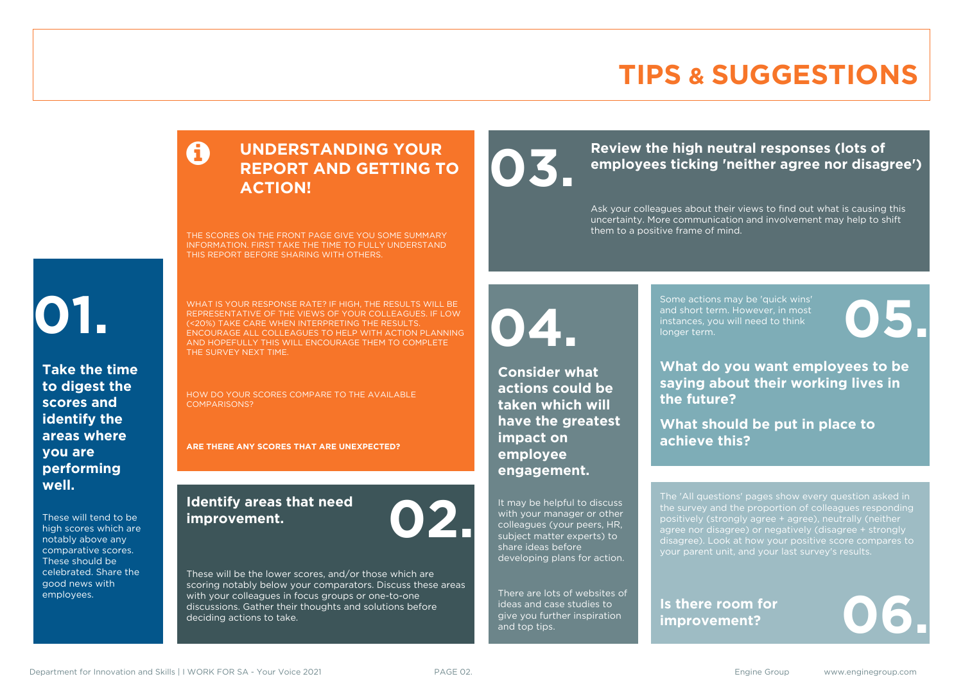# **TIPS & SUGGESTIONS**

### **UNDERSTANDING YOUR REPORT AND GETTING TO ACTION!**

THE SCORES ON THE FRONT PAGE GIVE YOU SOME SUMMARY INFORMATION. FIRST TAKE THE TIME TO FULLY UNDERSTAND THIS REPORT BEFORE SHARING WITH OTHERS.

# **01.**

**Take the time to digest the scores and identify the areas where you are performing well.**

These will tend to be high scores which are notably above any comparative scores. These should be celebrated. Share the good news with employees.

WHAT IS YOUR RESPONSE RATE? IF HIGH, THE RESULTS WILL BE REPRESENTATIVE OF THE VIEWS OF YOUR COLLEAGUES. IF LOW (<20%) TAKE CARE WHEN INTERPRETING THE RESULTS. ENCOURAGE ALL COLLEAGUES TO HELP WITH ACTION PLANNING AND HOPEFULLY THIS WILL ENCOURAGE THEM TO COMPLETE THE SURVEY NEXT TIME.

HOW DO YOUR SCORES COMPARE TO THE AVAILABLE COMPARISONS?

**ARE THERE ANY SCORES THAT ARE UNEXPECTED?**

### **Identify areas that need improvement. 02.**

These will be the lower scores, and/or those which are scoring notably below your comparators. Discuss these areas with your colleagues in focus groups or one-to-one discussions. Gather their thoughts and solutions before deciding actions to take.

Review the high neutral responses (lots of employees ticking 'neither agree nor disag **employees ticking 'neither agree nor disagree')**

> Ask your colleagues about their views to find out what is causing this uncertainty. More communication and involvement may help to shift them to a positive frame of mind.

**04.**

**Consider what actions could be taken which will have the greatest impact on employee engagement.**

It may be helpful to discuss with your manager or other colleagues (your peers, HR, subject matter experts) to share ideas before developing plans for action.

There are lots of websites of ideas and case studies to give you further inspiration and top tips.

Some actions may be 'quick wins' and short term. However, in most instances, you will need to think Some actions may be 'quick wins'<br>and short term. However, in most<br>instances, you will need to think<br>longer term.

**What do you want employees to be saying about their working lives in the future?**

**What should be put in place to achieve this?**

The 'All questions' pages show every question asked in positively (strongly agree + agree), neutrally (neither agree nor disagree) or negatively (disagree + strongly disagree). Look at how your positive score compares to your parent unit, and your last survey's results.

**Is there room for**  Is there room for<br>improvement?

Department for Innovation and Skills | I WORK FOR SA - Your Voice 2021 PAGE 02. The School Communication of the School Communication of the School Communication of the School Communication of the School Communication of th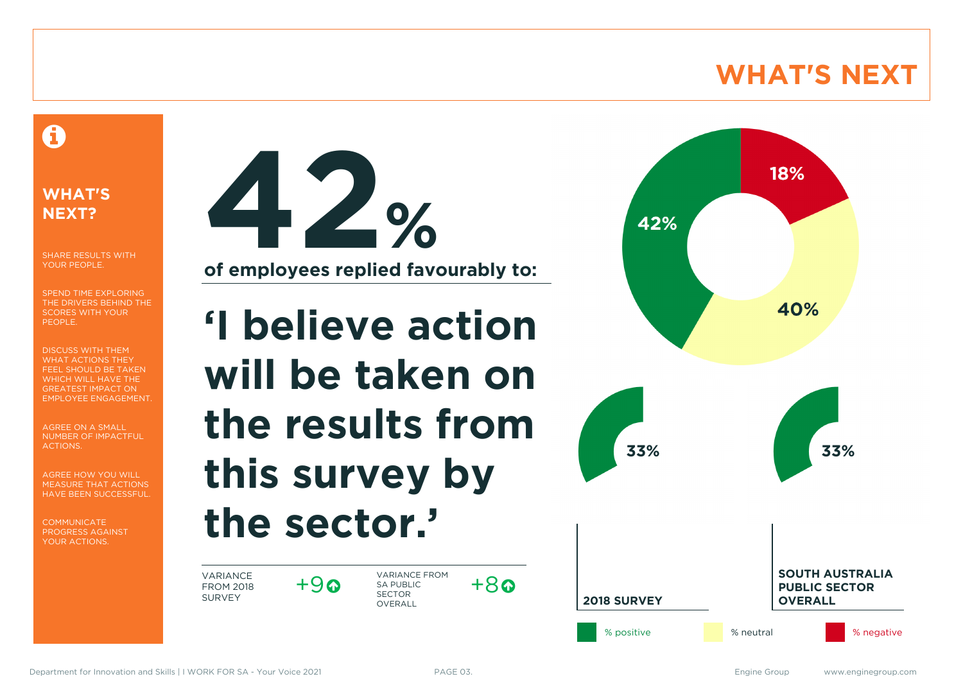# **WHAT'S NEXT**

# A

### **WHAT'S NEXT?**

SHARE RESULTS WITH YOUR PEOPLE.

SPEND TIME EXPLORING THE DRIVERS BEHIND THE SCORES WITH YOUR PEOPLE.

DISCUSS WITH THEM WHAT ACTIONS THEY FEEL SHOULD BE TAKEN WHICH WILL HAVE THE GREATEST IMPACT ON EMPLOYEE ENGAGEMENT.

AGREE ON A SMALL NUMBER OF IMPACTFUL ACTIONS.

AGREE HOW YOU WILL MEASURE THAT ACTIONS HAVE BEEN SUCCESSFUL.

**COMMUNICATE** PROGRESS AGAINST YOUR ACTIONS.



# **'I believe action will be taken on the results from this survey by the sector.'**

VARIANCE FROM 2018 SURVEY

 $+9a$ 

VARIANCE FROM SA PUBLIC SECTOR **OVERALL** 



 $+8a$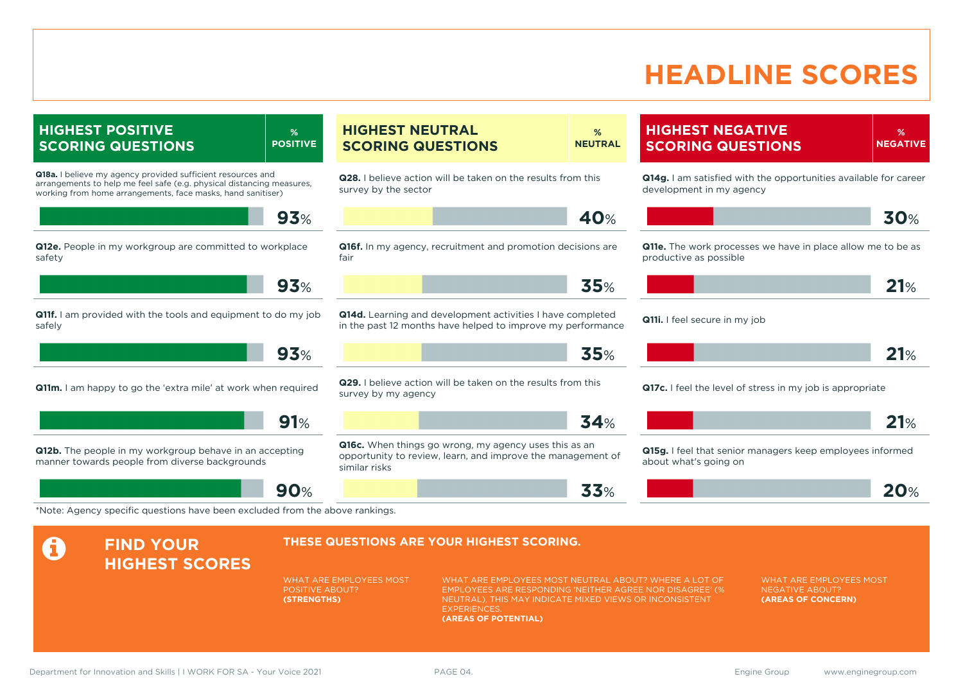# **HEADLINE SCORES**

### **HIGHEST POSITIVE SCORING QUESTIONS**

**Q18a.** I believe my agency provided sufficient resources and arrangements to help me feel safe (e.g. physical distancing measures, working from home arrangements, face masks, hand sanitiser)

**93**%

**% POSITIVE**

**Q12e.** People in my workgroup are committed to workplace safety

**93**%

**Q11f.** I am provided with the tools and equipment to do my job safely

**93**%

**Q11m.** I am happy to go the 'extra mile' at work when required

**91**%

**Q12b.** The people in my workgroup behave in an accepting manner towards people from diverse backgrounds

**A** FIND YOUR

**90**%

#### **HIGHEST NEUTRAL SCORING QUESTIONS % NEUTRAL**

**Q28.** I believe action will be taken on the results from this survey by the sector

$$
\blacksquare
$$

**Q16f.** In my agency, recruitment and promotion decisions are fair

**35**%

**Q14d.** Learning and development activities I have completed in the past 12 months have helped to improve my performance

**35**%

**Q29.** I believe action will be taken on the results from this survey by my agency

### **34**%

**Q16c.** When things go wrong, my agency uses this as an opportunity to review, learn, and improve the management of similar risks

### **HIGHEST NEGATIVE SCORING QUESTIONS**

**% NEGATIVE**

**Q14g.** I am satisfied with the opportunities available for career development in my agency

$$
\blacksquare
$$

**Q11e.** The work processes we have in place allow me to be as productive as possible

**21**%

**Q11i.** I feel secure in my job



**Q17c.** I feel the level of stress in my job is appropriate



**Q15g.** I feel that senior managers keep employees informed about what's going on



\*Note: Agency specific questions have been excluded from the above rankings.

### **THESE QUESTIONS ARE YOUR HIGHEST SCORING.**

WHAT ARE EMPLOYEES MOST POSITIVE ABOUT? **(STRENGTHS)**

WHAT ARE EMPLOYEES MOST NEUTRAL ABOUT? WHERE A LOT OF EMPLOYEES ARE RESPONDING 'NEITHER AGREE NOR DISAGREE' (% NEUTRAL), THIS MAY INDICATE MIXED VIEWS OR INCONSISTENT **EXPERIENCES (AREAS OF POTENTIAL)**

**33**%

WHAT ARE EMPLOYEES MOST NEGATIVE ABOUT? **(AREAS OF CONCERN)**

**HIGHEST SCORES**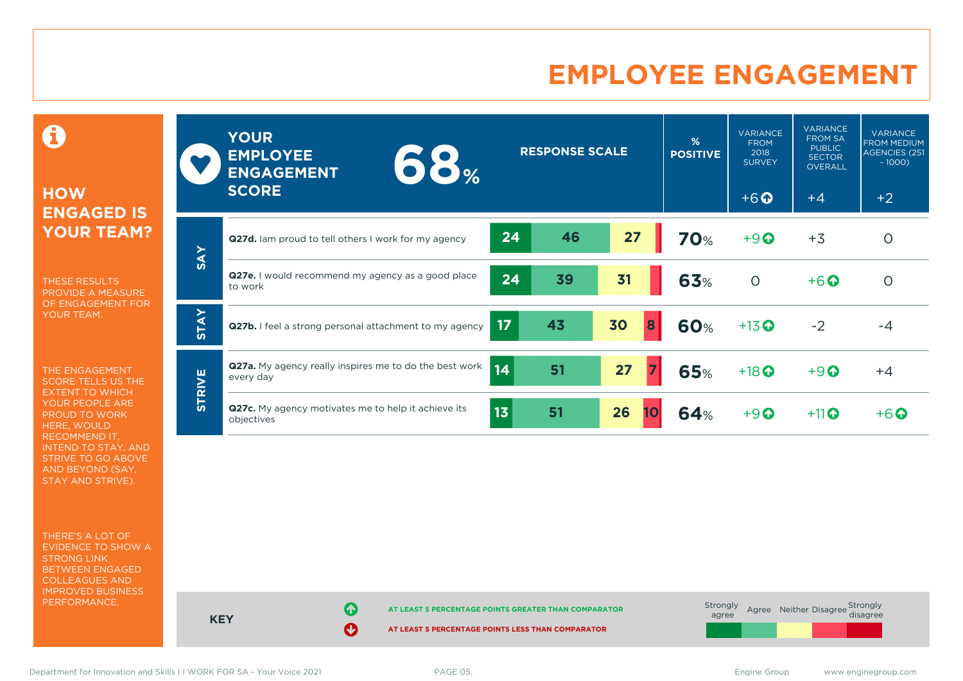# **EMPLOYEE ENGAGEMENT**

0

### **HOW ENGAGED IS YOUR TEAM?**

THESE RESULTS PROVIDE A MEASURE OF ENGAGEMENT FOR YOUR TEAM.

THE ENGAGEMENT SCORE TELLS US THE EXTENT TO WHICH YOUR PEOPLE ARE PROUD TO WORK HERE, WOULD RECOMMEND IT, INTEND TO STAY, AND STRIVE TO GO ABOVE AND BEYOND (SAY, STAY AND STRIVE).

THERE'S A LOT OF EVIDENCE TO SHOW A STRONG LINK BETWEEN ENGAGED COLLEAGUES AND IMPROVED BUSINESS PERFORMANCE.

|               | <b>YOUR</b><br><b>EMPLOYEE</b><br>$\bullet$ $\bullet$ $\%$<br><b>ENGAGEMENT</b><br><b>SCORE</b> |                 | <b>RESPONSE SCALE</b> |          | %<br><b>POSITIVE</b> | <b>VARIANCE</b><br><b>FROM</b><br>2018<br><b>SURVEY</b><br>$+6$ <sup><math>\odot</math></sup> | <b>VARIANCE</b><br><b>FROM SA</b><br><b>PUBLIC</b><br><b>SECTOR</b><br><b>OVERALL</b><br>$+4$ | <b>VARIANCE</b><br><b>FROM MEDIUM</b><br><b>AGENCIES (251)</b><br>$-1000$<br>$+2$ |
|---------------|-------------------------------------------------------------------------------------------------|-----------------|-----------------------|----------|----------------------|-----------------------------------------------------------------------------------------------|-----------------------------------------------------------------------------------------------|-----------------------------------------------------------------------------------|
|               | Q27d. Iam proud to tell others I work for my agency                                             | 24              | 46                    | 27       | <b>70%</b>           | $+9$                                                                                          | $+3$                                                                                          | $\circ$                                                                           |
| <b>SAY</b>    | Q27e. I would recommend my agency as a good place<br>to work                                    | 24              | 39                    | 31       | 63%                  | $\circ$                                                                                       | $+6$ $\odot$                                                                                  | $\circ$                                                                           |
| <b>STAY</b>   | Q27b. I feel a strong personal attachment to my agency                                          | 17              | 43                    | 30<br>8  | 60%                  | $+13$ <sup>O</sup>                                                                            | $-2$                                                                                          | $-4$                                                                              |
|               | <b>Q27a.</b> My agency really inspires me to do the best work<br>every day                      | $\overline{14}$ | 51                    | 27       | <b>65%</b>           | $+18$ <sup>O</sup>                                                                            | $+9$ <sup><math>\odot</math></sup>                                                            | $+4$                                                                              |
| <b>STRIVE</b> | Q27c. My agency motivates me to help it achieve its<br>objectives                               | 13              | 51                    | 26<br>10 | 64%                  | $+9$ <sup><math>\odot</math></sup>                                                            | $+11$ <sup>O</sup>                                                                            | $+6\Omega$                                                                        |

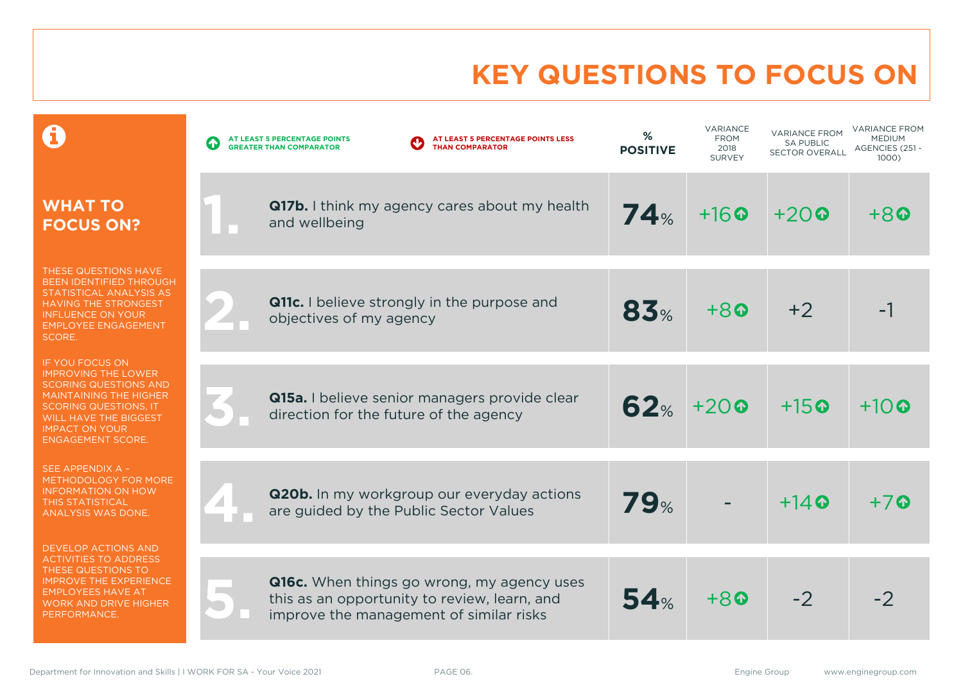# **KEY QUESTIONS TO FOCUS ON**

|                                                                                                                                                                                                                                     | AT LEAST 5 PERCENTAGE POINTS LESS<br>AT LEAST 5 PERCENTAGE POINTS<br>4<br><b>THAN COMPARATOR</b><br><b>GREATER THAN COMPARATOR</b>    | %<br><b>POSITIVE</b> | <b>VARIANCE</b><br><b>FROM</b><br>2018<br><b>SURVEY</b> | <b>VARIANCE FROM</b><br><b>SA PUBLIC</b><br><b>SECTOR OVERALL</b> | <b>VARIANCE FROM</b><br><b>MEDIUM</b><br>AGENCIES (251 -<br>1000) |
|-------------------------------------------------------------------------------------------------------------------------------------------------------------------------------------------------------------------------------------|---------------------------------------------------------------------------------------------------------------------------------------|----------------------|---------------------------------------------------------|-------------------------------------------------------------------|-------------------------------------------------------------------|
| <b>WHAT TO</b><br><b>FOCUS ON?</b>                                                                                                                                                                                                  | <b>Q17b.</b> I think my agency cares about my health<br>and wellbeing                                                                 | 74%                  | $+16$ <sup><math>\odot</math></sup>                     | $+20$                                                             | $+8$                                                              |
| THESE QUESTIONS HAVE<br><b>BEEN IDENTIFIED THROUGH</b><br>STATISTICAL ANALYSIS AS<br><b>HAVING THE STRONGEST</b><br><b>INFLUENCE ON YOUR</b><br><b>EMPLOYEE ENGAGEMENT</b><br>SCORE.                                                | Q11c. I believe strongly in the purpose and<br>objectives of my agency                                                                | 83%                  | $+80$                                                   | $+2$                                                              |                                                                   |
| <b>IF YOU FOCUS ON</b><br><b>IMPROVING THE LOWER</b><br><b>SCORING QUESTIONS AND</b><br><b>MAINTAINING THE HIGHER</b><br><b>SCORING QUESTIONS, IT</b><br>WILL HAVE THE BIGGEST<br><b>IMPACT ON YOUR</b><br><b>ENGAGEMENT SCORE.</b> | Q15a. I believe senior managers provide clear<br>direction for the future of the agency                                               | 62%                  | $+20$                                                   | $+15$ <sup><math>\odot</math></sup>                               | $+10\Omega$                                                       |
| SEE APPENDIX A -<br>METHODOLOGY FOR MORE<br><b>INFORMATION ON HOW</b><br>THIS STATISTICAL<br>ANALYSIS WAS DONE.                                                                                                                     | <b>Q20b.</b> In my workgroup our everyday actions<br>are guided by the Public Sector Values                                           | 79%                  |                                                         | $+14$ $\odot$                                                     | $+7$ Q                                                            |
| <b>DEVELOP ACTIONS AND</b><br><b>ACTIVITIES TO ADDRESS</b><br>THESE QUESTIONS TO<br><b>IMPROVE THE EXPERIENCE</b><br><b>EMPLOYEES HAVE AT</b><br><b>WORK AND DRIVE HIGHER</b><br>PERFORMANCE.                                       | Q16c. When things go wrong, my agency uses<br>this as an opportunity to review, learn, and<br>improve the management of similar risks | 54%                  | $+8$                                                    | $-2$                                                              |                                                                   |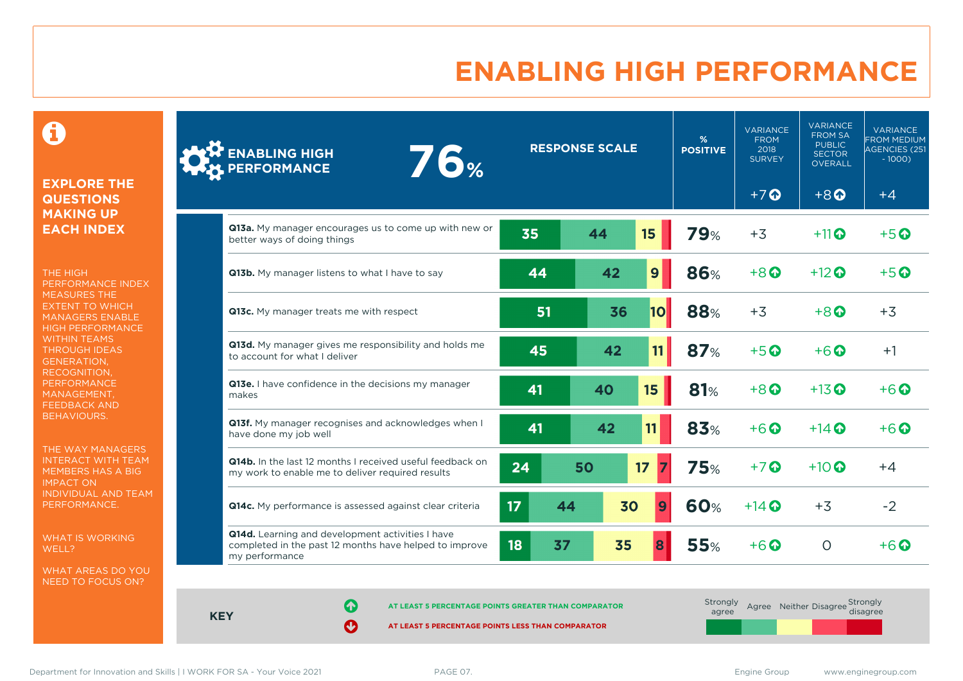# **ENABLING HIGH PERFORMANCE**

 $\mathbf \Theta$ 

### **EXPLORE THE QUESTIONS MAKING UP EACH INDEX**

THE HIGH PERFORMANCE INDEX MEASURES THE EXTENT TO WHICH MANAGERS ENABLE HIGH PERFORMANCE WITHIN TEAMS THROUGH IDEAS GENERATION, RECOGNITION, **PERFORMANCE** MANAGEMENT, FEEDBACK AND BEHAVIOURS.

THE WAY MANAGERS INTERACT WITH TEAM MEMBERS HAS A BIG IMPACT ON INDIVIDUAL AND TEAM PERFORMANCE.

WHAT IS WORKING WELL?

WHAT AREAS DO YOU NEED TO FOCUS ON?

| <b>ENABLING HIGH<br/>PERFORMANCE</b><br><b>76%</b>                                                                           |                 | <b>RESPONSE SCALE</b> |    | %<br><b>POSITIVE</b> | <b>VARIANCE</b><br><b>FROM</b><br>2018<br><b>SURVEY</b> | <b>VARIANCE</b><br><b>FROM SA</b><br><b>PUBLIC</b><br><b>SECTOR</b><br>OVERALL | <b>VARIANCE</b><br><b>FROM MEDIUM</b><br><b>AGENCIES (251</b><br>$-1000$ ) |
|------------------------------------------------------------------------------------------------------------------------------|-----------------|-----------------------|----|----------------------|---------------------------------------------------------|--------------------------------------------------------------------------------|----------------------------------------------------------------------------|
|                                                                                                                              |                 |                       |    |                      | $+7$                                                    | $+8$ <sup><math>\odot</math></sup>                                             | $+4$                                                                       |
| Q13a. My manager encourages us to come up with new or<br>better ways of doing things                                         | 35              | 44                    | 15 | <b>79%</b>           | $+3$                                                    | $+11$ $\odot$                                                                  | $+5$ <sup>O</sup>                                                          |
| Q13b. My manager listens to what I have to say                                                                               | 44              | 42                    | 9  | 86%                  | $+8$ $\odot$                                            | $+12$ $\odot$                                                                  | $+5$ $\odot$                                                               |
| Q13c. My manager treats me with respect                                                                                      | 51              | 36                    | 10 | 88%                  | $+3$                                                    | $+8$                                                                           | $+3$                                                                       |
| Q13d. My manager gives me responsibility and holds me<br>to account for what I deliver                                       | 45              | 42                    | 11 | 87%                  | $+5$ $\odot$                                            | $+6\Omega$                                                                     | $+1$                                                                       |
| Q13e. I have confidence in the decisions my manager<br>makes                                                                 | 41              | 40                    | 15 | <b>81%</b>           | $+8$ <sup><math>\odot</math></sup>                      | $+13$ <sup>O</sup>                                                             | $+6$ <sup><math>\odot</math></sup>                                         |
| Q13f. My manager recognises and acknowledges when I<br>have done my job well                                                 | 41              | 42                    | 11 | 83%                  | $+6$ $\odot$                                            | $+14$ $\odot$                                                                  | $+6$ $\odot$                                                               |
| Q14b. In the last 12 months I received useful feedback on<br>my work to enable me to deliver required results                | 24              | 50                    | 17 | <b>75%</b>           | $+7$                                                    | $+10$ $\odot$                                                                  | $+4$                                                                       |
| Q14c. My performance is assessed against clear criteria                                                                      | 17 <sup>2</sup> | 30<br>44              | 9  | <b>60%</b>           | $+14$ $\odot$                                           | $+3$                                                                           | $-2$                                                                       |
| Q14d. Learning and development activities I have<br>completed in the past 12 months have helped to improve<br>my performance | 18<br>37        | 35                    |    | <b>55%</b>           | $+6$ $\odot$                                            | $\circ$                                                                        | $+6\,\Omega$                                                               |

**KEY**

**AT LEAST 5 PERCENTAGE POINTS GREATER THAN COMPARATOR** 

| Strongly<br>agree |  | Agree Neither Disagree Strongly<br>disagree |
|-------------------|--|---------------------------------------------|
|                   |  |                                             |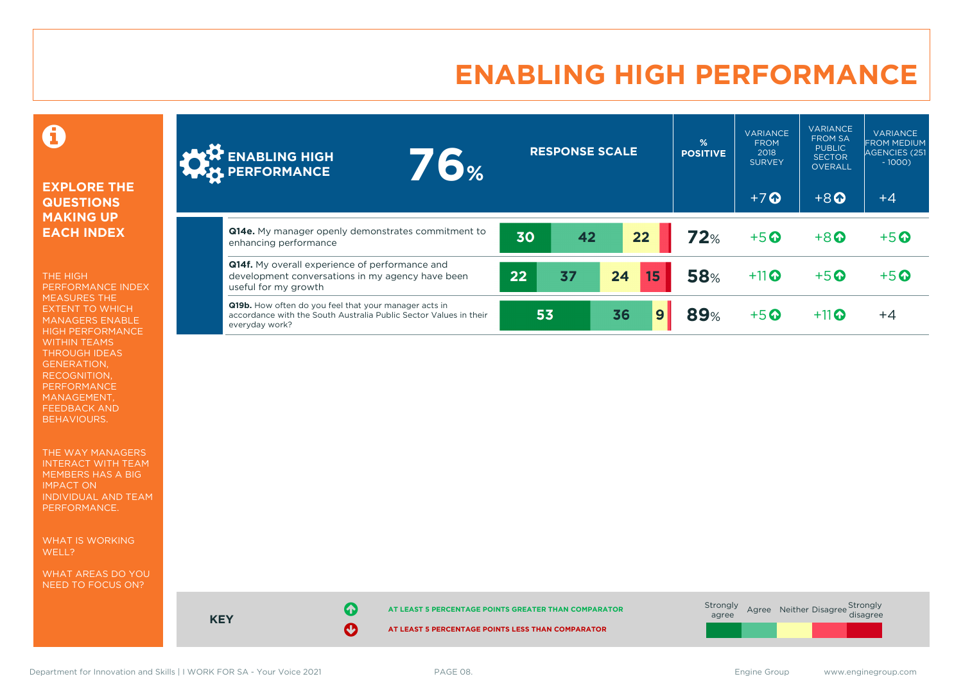# **ENABLING HIGH PERFORMANCE**

0

### **EXPLORE THE QUESTIONS MAKING UP EACH INDEX**

THE HIGH PERFORMANCE INDEX MEASURES THE EXTENT TO WHICH MANAGERS ENABLE HIGH PERFORMANCE WITHIN TEAMS THROUGH IDEAS GENERATION, RECOGNITION, PERFORMANCE MANAGEMENT, FEEDBACK AND BEHAVIOURS.

THE WAY MANAGERS INTERACT WITH TEAM MEMBERS HAS A BIG IMPACT ON INDIVIDUAL AND TEAM PERFORMANCE.

WHAT IS WORKING WELL?

WHAT AREAS DO YOU NEED TO FOCUS ON?

| <b>ANY ENABLING HIGH</b><br><b>76%</b>                                                                                                       |    |    | <b>RESPONSE SCALE</b> |    |    | %<br><b>POSITIVE</b> | <b>VARIANCE</b><br><b>FROM</b><br>2018<br><b>SURVEY</b> | <b>VARIANCE</b><br><b>FROM SA</b><br><b>PUBLIC</b><br><b>SECTOR</b><br><b>OVERALL</b> | <b>VARIANCE</b><br><b>FROM MEDIUM</b><br>AGENCIES (251<br>$-1000$ |
|----------------------------------------------------------------------------------------------------------------------------------------------|----|----|-----------------------|----|----|----------------------|---------------------------------------------------------|---------------------------------------------------------------------------------------|-------------------------------------------------------------------|
|                                                                                                                                              |    |    |                       |    |    |                      | $+7$ $\Omega$                                           | $+8$ <sup><math>\Omega</math></sup>                                                   | $+4$                                                              |
| Q14e. My manager openly demonstrates commitment to<br>enhancing performance                                                                  |    | 30 | 42                    |    | 22 | 72%                  | $+5$ <sup><math>\odot</math></sup>                      | $+8$ <sup><math>\odot</math></sup>                                                    | $+5$ <sup>O</sup>                                                 |
| <b>Q14f.</b> My overall experience of performance and<br>development conversations in my agency have been<br>useful for my growth            | 22 |    | 37                    | 24 | 15 | <b>58%</b>           | $+11$                                                   | $+5$ <sup>O</sup>                                                                     | $+5$ <sup>O</sup>                                                 |
| Q19b. How often do you feel that your manager acts in<br>accordance with the South Australia Public Sector Values in their<br>everyday work? |    | 53 |                       | 36 | 9  | 89%                  | $+5$ <sup><math>\odot</math></sup>                      | $+11$                                                                                 | $+4$                                                              |



**KEY**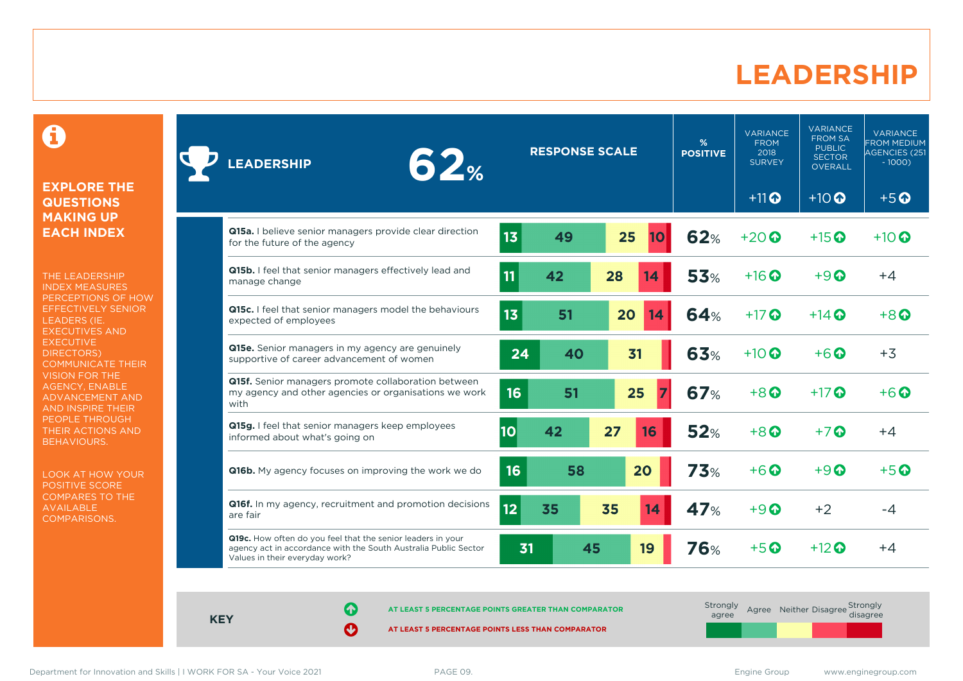### **LEADERSHIP**

0

### **EXPLORE THE QUESTIONS MAKING UP EACH INDEX**

THE LEADERSHIP INDEX MEASURES PERCEPTIONS OF HOW EFFECTIVELY SENIOR LEADERS (IE. EXECUTIVES AND **EXECUTIVE** DIRECTORS) COMMUNICATE THEIR VISION FOR THE AGENCY, ENABLE ADVANCEMENT AND AND INSPIRE THEIR PEOPLE THROUGH THEIR ACTIONS AND BEHAVIOURS.

LOOK AT HOW YOUR POSITIVE SCORE COMPARES TO THE AVAILABLE COMPARISONS.

| 62%<br><b>EADERSHIP</b>                                                                                                                                          |    | <b>RESPONSE SCALE</b> |    |    | %<br><b>POSITIVE</b> | <b>VARIANCE</b><br><b>FROM</b><br>2018<br><b>SURVEY</b> | <b>VARIANCE</b><br><b>FROM SA</b><br><b>PUBLIC</b><br><b>SECTOR</b><br><b>OVERALL</b> | VARIANCE<br><b>FROM MEDIUM</b><br><b>AGENCIES (251</b><br>$-1000$ ) |
|------------------------------------------------------------------------------------------------------------------------------------------------------------------|----|-----------------------|----|----|----------------------|---------------------------------------------------------|---------------------------------------------------------------------------------------|---------------------------------------------------------------------|
|                                                                                                                                                                  |    |                       |    |    |                      | $+11$ <sup>O</sup>                                      | $+10$                                                                                 | $+5$ <sup>O</sup>                                                   |
| Q15a. I believe senior managers provide clear direction<br>for the future of the agency                                                                          | 13 | 49                    | 25 | 10 | <b>62%</b>           | $+20$ $\odot$                                           | $+15$ <sup>O</sup>                                                                    | $+10$ <sup>O</sup>                                                  |
| Q15b. I feel that senior managers effectively lead and<br>manage change                                                                                          | 11 | 42                    | 28 | 14 | 53%                  | $+16$ <sup><math>\odot</math></sup>                     | $+9$ $\odot$                                                                          | $+4$                                                                |
| Q15c. I feel that senior managers model the behaviours<br>expected of employees                                                                                  | 13 | 51                    | 20 | 14 | 64%                  | $+17$ $\odot$                                           | $+14$ $\odot$                                                                         | $+8$ $\odot$                                                        |
| <b>Q15e.</b> Senior managers in my agency are genuinely<br>supportive of career advancement of women                                                             | 24 | 40                    | 31 |    | 63%                  | $+10$ <sup>O</sup>                                      | $+6$ $\odot$                                                                          | $+3$                                                                |
| Q15f. Senior managers promote collaboration between<br>my agency and other agencies or organisations we work<br>with                                             | 16 | 51                    | 25 |    | <b>67%</b>           | $+8$                                                    | $+17$ $\odot$                                                                         | $+6$ $\odot$                                                        |
| Q15g. I feel that senior managers keep employees<br>informed about what's going on                                                                               | 10 | 42                    | 27 | 16 | 52%                  | $+8$ <sup><math>\odot</math></sup>                      | $+7$ $\odot$                                                                          | $+4$                                                                |
| Q16b. My agency focuses on improving the work we do                                                                                                              | 16 | 58                    |    | 20 | 73%                  | $+6$ $\odot$                                            | $+9$ $\odot$                                                                          | $+5$ $\odot$                                                        |
| Q16f. In my agency, recruitment and promotion decisions<br>are fair                                                                                              | 12 | 35                    | 35 | 14 | 47%                  | $+9$ $\odot$                                            | $+2$                                                                                  | -4                                                                  |
| Q19c. How often do you feel that the senior leaders in your<br>agency act in accordance with the South Australia Public Sector<br>Values in their everyday work? | 31 | 45                    |    | 19 | <b>76%</b>           | $+5$ $\odot$                                            | $+12$ $\odot$                                                                         | $+4$                                                                |

**KEY**

**AT LEAST 5 PERCENTAGE POINTS GREATER THAN COMPARATOR** 

**AT LEAST 5 PERCENTAGE POINTS LESS THAN COMPARATOR** 

**Strongly** agree Agree Neither Disagree Strongly<br>disagree

Department for Innovation and Skills | I WORK FOR SA - Your Voice 2021 PAGE 09. PAGE 09. Engine Group www.enginegroup.com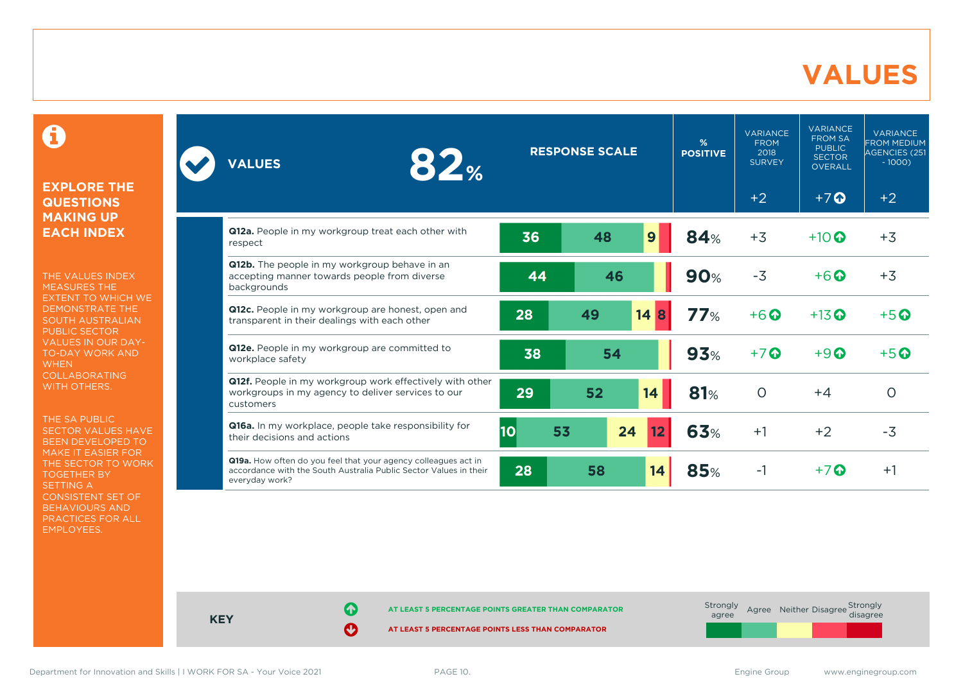# **VALUES**

0

### **EXPLORE THE QUESTIONS MAKING UP EACH INDEX**

THE VALUES INDEX MEASURES THE EXTENT TO WHICH WE DEMONSTRATE THE SOUTH AUSTRALIAN PUBLIC SECTOR VALUES IN OUR DAY-TO-DAY WORK AND **WHEN** COLLABORATING WITH OTHERS.

THE SA PUBLIC SECTOR VALUES HAVE BEEN DEVELOPED TO MAKE IT EASIER FOR THE SECTOR TO WORK TOGETHER BY SETTING A CONSISTENT SET OF BEHAVIOURS AND PRACTICES FOR ALL EMPLOYEES.

| 82%<br><b>VALUES</b>                                                                                                                                  |          | <b>RESPONSE SCALE</b> |         | %<br><b>POSITIVE</b> | <b>VARIANCE</b><br><b>FROM</b><br>2018<br><b>SURVEY</b> | <b>VARIANCE</b><br><b>FROM SA</b><br><b>PUBLIC</b><br><b>SECTOR</b><br><b>OVERALL</b> | <b>VARIANCE</b><br><b>FROM MEDIUM</b><br>AGENCIES (251<br>$-1000$ |
|-------------------------------------------------------------------------------------------------------------------------------------------------------|----------|-----------------------|---------|----------------------|---------------------------------------------------------|---------------------------------------------------------------------------------------|-------------------------------------------------------------------|
|                                                                                                                                                       |          |                       |         |                      | $+2$                                                    | $+7$ $\Omega$                                                                         | $+2$                                                              |
| <b>Q12a.</b> People in my workgroup treat each other with<br>respect                                                                                  | 36       | 48                    | 9       | 84%                  | $+3$                                                    | $+10$ $\odot$                                                                         | $+3$                                                              |
| Q12b. The people in my workgroup behave in an<br>accepting manner towards people from diverse<br>backgrounds                                          | 44       | 46                    |         | <b>90%</b>           | $-3$                                                    | $+6$ $\odot$                                                                          | $+3$                                                              |
| Q12c. People in my workgroup are honest, open and<br>transparent in their dealings with each other                                                    | 28       | 49                    | 14<br>8 | 77%                  | $+6$ <sup>O</sup>                                       | $+13$ <sup>O</sup>                                                                    | $+5$ $\odot$                                                      |
| Q12e. People in my workgroup are committed to<br>workplace safety                                                                                     | 38       | 54                    |         | 93%                  | $+7$ <sup>O</sup>                                       | $+9$ $\odot$                                                                          | $+5$ $\odot$                                                      |
| Q12f. People in my workgroup work effectively with other<br>workgroups in my agency to deliver services to our<br>customers                           | 29       | 52                    | 14      | 81%                  | $\Omega$                                                | $+4$                                                                                  | $\circ$                                                           |
| Q16a. In my workplace, people take responsibility for<br>their decisions and actions                                                                  | 10<br>53 | 24                    | 12      | 63%                  | $+1$                                                    | $+2$                                                                                  | $-3$                                                              |
| Q19a. How often do you feel that your agency colleagues act in<br>accordance with the South Australia Public Sector Values in their<br>everyday work? | 28       | 58                    | 14      | <b>85%</b>           | $-1$                                                    | $+7$ $\odot$                                                                          | $+1$                                                              |



Department for Innovation and Skills | I WORK FOR SA - Your Voice 2021 PAGE 10. The Second Music Communication of the Second Music Communication of the Second Music Communication of the Second Music Communication of the Se

**KEY**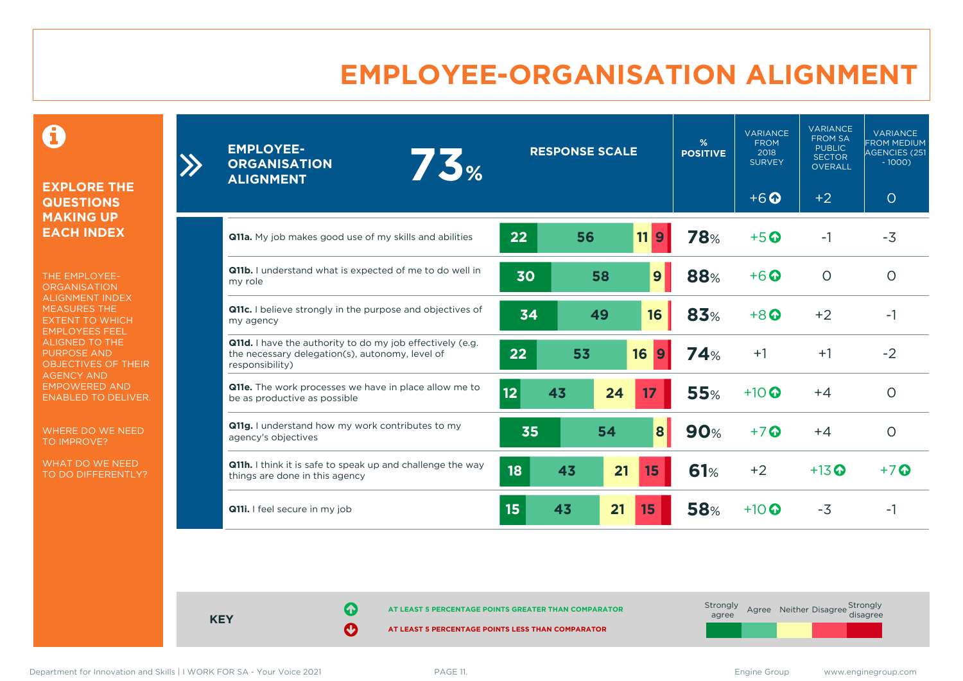# **EMPLOYEE-ORGANISATION ALIGNMENT**

0

### **EXPLORE THE QUESTIONS MAKING UP EACH INDEX**

 $\sum_{i=1}^{n}$ 

THE EMPLOYEE-**ORGANISATION** ALIGNMENT INDEX MEASURES THE EXTENT TO WHICH EMPLOYEES FEEL ALIGNED TO THE PURPOSE AND OBJECTIVES OF THEIR AGENCY AND EMPOWERED AND ENABLED TO DELIVER.

WHERE DO WE NEED TO IMPROVE?

WHAT DO WE NEED TO DO DIFFERENTLY?

| <b>EMPLOYEE-</b><br>75%<br><b>ORGANISATION</b><br><b>ALIGNMENT</b>                                                                     |                 | <b>RESPONSE SCALE</b> |    |                 | %<br><b>POSITIVE</b> | <b>VARIANCE</b><br><b>FROM</b><br>2018<br><b>SURVEY</b> | <b>VARIANCE</b><br><b>FROM SA</b><br><b>PUBLIC</b><br><b>SECTOR</b><br><b>OVERALL</b> | <b>VARIANCE</b><br><b>FROM MEDIUM</b><br>AGENCIES (251<br>$-1000$ |
|----------------------------------------------------------------------------------------------------------------------------------------|-----------------|-----------------------|----|-----------------|----------------------|---------------------------------------------------------|---------------------------------------------------------------------------------------|-------------------------------------------------------------------|
|                                                                                                                                        |                 |                       |    |                 |                      | $+6$ $\odot$                                            | $+2$                                                                                  | $\circ$                                                           |
| Q11a. My job makes good use of my skills and abilities                                                                                 | 22              | 56                    |    | 11<br>9         | 78%                  | $+5$ <sup>O</sup>                                       | $-1$                                                                                  | $-3$                                                              |
| Q11b. I understand what is expected of me to do well in<br>my role                                                                     | 30              |                       | 58 | 9               | 88%                  | $+6$ <sup>O</sup>                                       | $\circ$                                                                               | $\circ$                                                           |
| <b>Q11c.</b> I believe strongly in the purpose and objectives of<br>my agency                                                          | 34              |                       | 49 | 16              | 83%                  | $+8$ <sup><math>\odot</math></sup>                      | $+2$                                                                                  | $-1$                                                              |
| <b>Q11d.</b> I have the authority to do my job effectively (e.g.<br>the necessary delegation(s), autonomy, level of<br>responsibility) | 22              | 53                    |    | 16<br>9         | <b>74%</b>           | $+1$                                                    | $+1$                                                                                  | $-2$                                                              |
| Q11e. The work processes we have in place allow me to<br>be as productive as possible                                                  | 12 <sub>2</sub> | 43                    | 24 | 17              | <b>55%</b>           | $+10$ $\odot$                                           | $+4$                                                                                  | $\circ$                                                           |
| Q11g. I understand how my work contributes to my<br>agency's objectives                                                                | 35              |                       | 54 | $\vert 8 \vert$ | <b>90%</b>           | $+7$                                                    | $+4$                                                                                  | $\circ$                                                           |
| Q11h. I think it is safe to speak up and challenge the way<br>things are done in this agency                                           | 18              | 43                    | 21 | 15              | 61%                  | $+2$                                                    | $+13$ <sup>O</sup>                                                                    | $+7$                                                              |
| Q11i. I feel secure in my job                                                                                                          | 15              | 43                    | 21 | 15              | <b>58%</b>           | $+10$ $\odot$                                           | $-3$                                                                                  | -1                                                                |

**KEY**

**AT LEAST 5 PERCENTAGE POINTS GREATER THAN COMPARATOR** 

**AT LEAST 5 PERCENTAGE POINTS LESS THAN COMPARATOR** 

Department for Innovation and Skills | I WORK FOR SA - Your Voice 2021 PAGE 11. PAGE 11. Engine School and Skills | I WORK FOR SA - Your Voice 2021 PAGE 11.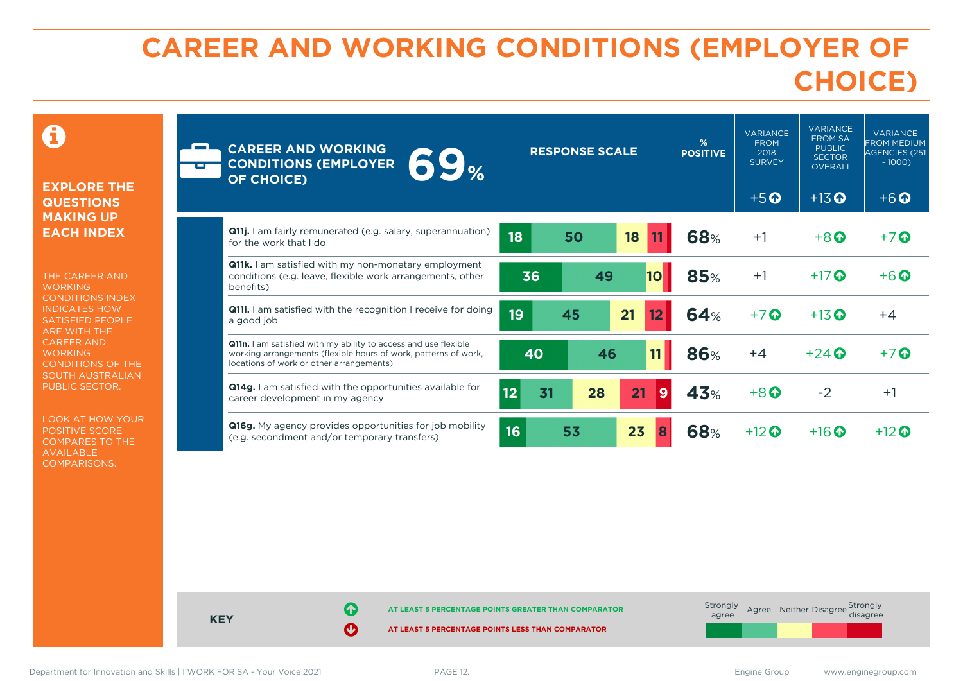# **CAREER AND WORKING CONDITIONS (EMPLOYER OF CHOICE)**

 $\mathbf \Omega$ 

### **EXPLORE THE QUESTIONS MAKING UP EACH INDEX**

THE CAREER AND **WORKING** CONDITIONS INDEX INDICATES HOW SATISFIED PEOPLE ARE WITH THE CAREER AND **WORKING** CONDITIONS OF THE SOUTH AUSTRALIAN PUBLIC SECTOR.

LOOK AT HOW YOUR POSITIVE SCORE COMPARES TO THE AVAILABLE COMPARISONS.

| œ | <b>CAREER AND WORKING</b><br>69 <sub>%</sub><br><b>CONDITIONS (EMPLOYER</b><br><b>OF CHOICE)</b>                                                                                      | <b>RESPONSE SCALE</b>       | %<br><b>POSITIVE</b> | <b>VARIANCE</b><br><b>FROM</b><br>2018<br><b>SURVEY</b><br>$+5$ <sup>O</sup> | <b>VARIANCE</b><br><b>FROM SA</b><br><b>PUBLIC</b><br><b>SECTOR</b><br><b>OVERALL</b><br>$+13$ <sup>O</sup> | <b>VARIANCE</b><br><b>FROM MEDIUM</b><br><b>AGENCIES (251</b><br>$-1000$<br>$+6$ <sup><math>\odot</math></sup> |
|---|---------------------------------------------------------------------------------------------------------------------------------------------------------------------------------------|-----------------------------|----------------------|------------------------------------------------------------------------------|-------------------------------------------------------------------------------------------------------------|----------------------------------------------------------------------------------------------------------------|
|   | <b>Q11j.</b> I am fairly remunerated (e.g. salary, superannuation)<br>for the work that I do                                                                                          | 18<br>50<br>18              | <b>68%</b>           | $+1$                                                                         | $+8$                                                                                                        | $+7$ $\odot$                                                                                                   |
|   | <b>Q11k.</b> I am satisfied with my non-monetary employment<br>conditions (e.g. leave, flexible work arrangements, other<br>benefits)                                                 | 49<br>36<br>10 <sub>l</sub> | 85%                  | $+1$                                                                         | $+17$ $\odot$                                                                                               | $+6$ $\odot$                                                                                                   |
|   | <b>Q11.</b> I am satisfied with the recognition I receive for doing<br>a good job                                                                                                     | 19<br>21<br>45              | 64%                  | $+7$ $\odot$                                                                 | $+13$ <sup>O</sup>                                                                                          | $+4$                                                                                                           |
|   | <b>Q11n.</b> I am satisfied with my ability to access and use flexible<br>working arrangements (flexible hours of work, patterns of work,<br>locations of work or other arrangements) | 11<br>40<br>46              | <b>86%</b>           | $+4$                                                                         | $+24$ $\odot$                                                                                               | $+7$ $\odot$                                                                                                   |
|   | <b>Q14g.</b> I am satisfied with the opportunities available for<br>career development in my agency                                                                                   | 12<br>28<br>21<br>31<br>9   | 43%                  | $+8$ <sup><math>\Omega</math></sup>                                          | $-2$                                                                                                        | $+1$                                                                                                           |
|   | <b>Q16g.</b> My agency provides opportunities for job mobility<br>(e.g. secondment and/or temporary transfers)                                                                        | 16<br>23<br>53<br>8         | 68%                  | $+12$ $\odot$                                                                | $+16$ <sup>O</sup>                                                                                          | $+12$ $\odot$                                                                                                  |



Department for Innovation and Skills | I WORK FOR SA - Your Voice 2021 PAGE 12. The School Communication of the School Communication of the School Communication of the School Communication of the School Communication of th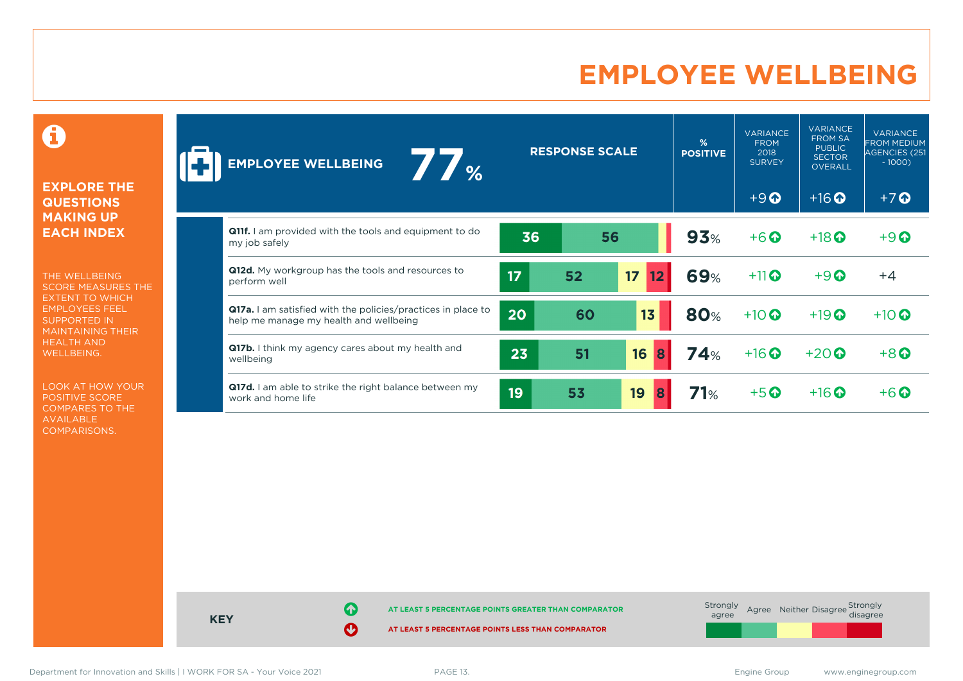# **EMPLOYEE WELLBEING**

0

### **EXPLORE THE QUESTIONS MAKING UP EACH INDEX**

THE WELLBEING SCORE MEASURES THE EXTENT TO WHICH EMPLOYEES FEEL SUPPORTED IN MAINTAINING THEIR HEALTH AND WELLBEING.

LOOK AT HOW YOUR POSITIVE SCORE COMPARES TO THE AVAILABLE COMPARISONS.

| $\frac{1}{2}$<br><b>EMPLOYEE WELLBEING</b>                                                             |    | <b>RESPONSE SCALE</b> |                       | %<br><b>POSITIVE</b> | <b>VARIANCE</b><br><b>FROM</b><br>2018<br><b>SURVEY</b> | <b>VARIANCE</b><br><b>FROM SA</b><br><b>PUBLIC</b><br><b>SECTOR</b><br><b>OVERALL</b> | <b>VARIANCE</b><br><b>FROM MEDIUM</b><br>AGENCIES (251<br>$-1000$ |
|--------------------------------------------------------------------------------------------------------|----|-----------------------|-----------------------|----------------------|---------------------------------------------------------|---------------------------------------------------------------------------------------|-------------------------------------------------------------------|
|                                                                                                        |    |                       |                       |                      | $+9$ <sup><math>\odot</math></sup>                      | $+16$ <sup>O</sup>                                                                    | $+7$ <sup>O</sup>                                                 |
| <b>Q11f.</b> I am provided with the tools and equipment to do<br>my job safely                         | 36 |                       | 56                    | 93%                  | $+6$ $\odot$                                            | $+18$ <sup>O</sup>                                                                    | $+9$                                                              |
| Q12d. My workgroup has the tools and resources to<br>perform well                                      | 17 | 52                    | 17 <sup>2</sup><br>12 | <b>69%</b>           | $+11$                                                   | $+9$                                                                                  | $+4$                                                              |
| Q17a. I am satisfied with the policies/practices in place to<br>help me manage my health and wellbeing | 20 | 60                    | 13                    | <b>80%</b>           | $+10$ $\odot$                                           | $+19$ <sup>O</sup>                                                                    | $+10$ $\odot$                                                     |
| Q17b. I think my agency cares about my health and<br>wellbeing                                         | 23 | 51                    | 16<br>8               | 74%                  | $+16$                                                   | $+20$                                                                                 | $+8$ <sup>O</sup>                                                 |
| Q17d. I am able to strike the right balance between my<br>work and home life                           | 19 | 53                    | 19<br>8               | 71%                  | $+5$ $\odot$                                            | $+16$ $\odot$                                                                         | $+6$ $\Omega$                                                     |



Department for Innovation and Skills | I WORK FOR SA - Your Voice 2021 PAGE 13. The School School and Skills | I WORK FOR SA - Your Voice 2021 PAGE 13.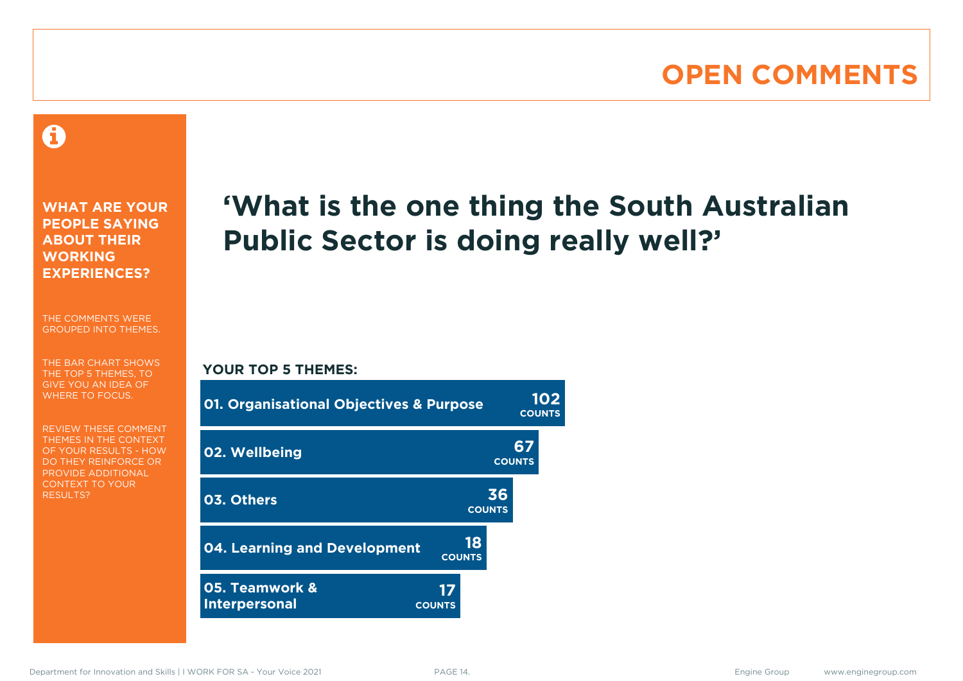# **OPEN COMMENTS**

### Ô

**WHAT ARE YOUR PEOPLE SAYING ABOUT THEIR WORKING EXPERIENCES?**

THE COMMENTS WERE GROUPED INTO THEMES.

THE BAR CHART SHOWS THE TOP 5 THEMES, TO GIVE YOU AN IDEA OF WHERE TO FOCUS.

REVIEW THESE COMMENT THEMES IN THE CONTEXT OF YOUR RESULTS - HOW DO THEY REINFORCE OR PROVIDE ADDITIONAL CONTEXT TO YOUR **RESULTS?** 

# **'What is the one thing the South Australian Public Sector is doing really well?'**

### **YOUR TOP 5 THEMES:**

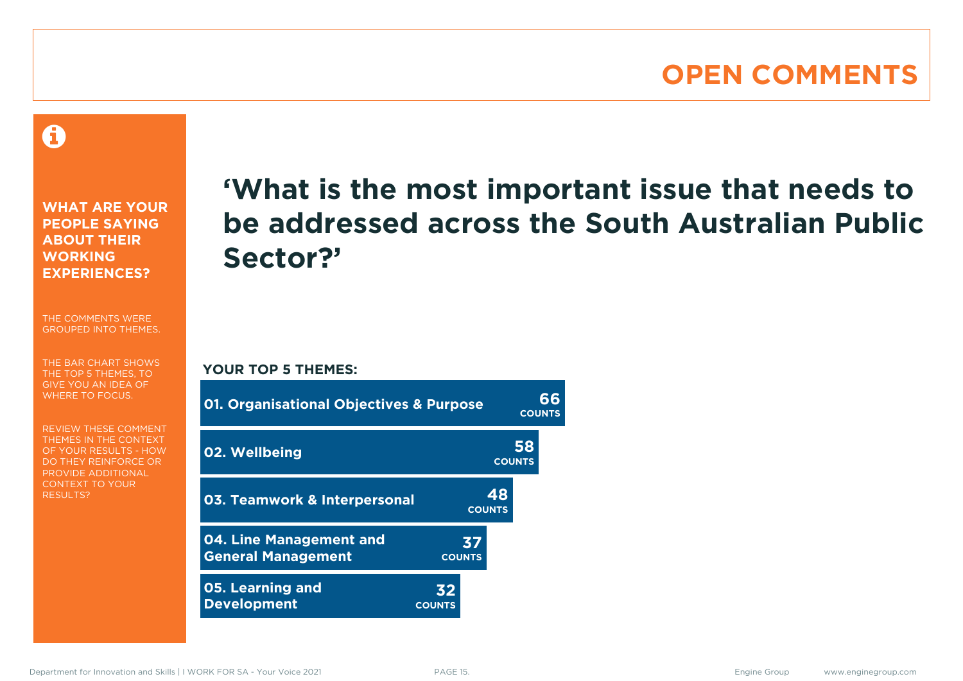# **OPEN COMMENTS**

A

**WHAT ARE YOUR PEOPLE SAYING ABOUT THEIR WORKING EXPERIENCES?**

THE COMMENTS WERE GROUPED INTO THEMES.

THE BAR CHART SHOWS THE TOP 5 THEMES, TO GIVE YOU AN IDEA OF WHERE TO FOCUS.

REVIEW THESE COMMENT THEMES IN THE CONTEXT OF YOUR RESULTS - HOW DO THEY REINFORCE OR PROVIDE ADDITIONAL CONTEXT TO YOUR **RESULTS?** 

# **'What is the most important issue that needs to be addressed across the South Australian Public Sector?'**

**COUNTS**

**YOUR TOP 5 THEMES:**

| <b>01. Organisational Objectives &amp; Purpose</b>   |                     |                     | สธ<br><b>COUNTS</b> |
|------------------------------------------------------|---------------------|---------------------|---------------------|
| 02. Wellbeing                                        |                     | 58<br><b>COUNTS</b> |                     |
| 03. Teamwork & Interpersonal                         |                     | 48<br><b>COUNTS</b> |                     |
| 04. Line Management and<br><b>General Management</b> | 37<br><b>COUNTS</b> |                     |                     |
| <b>05. Learning and</b><br><b>Development</b>        | 32<br><b>COUNTS</b> |                     |                     |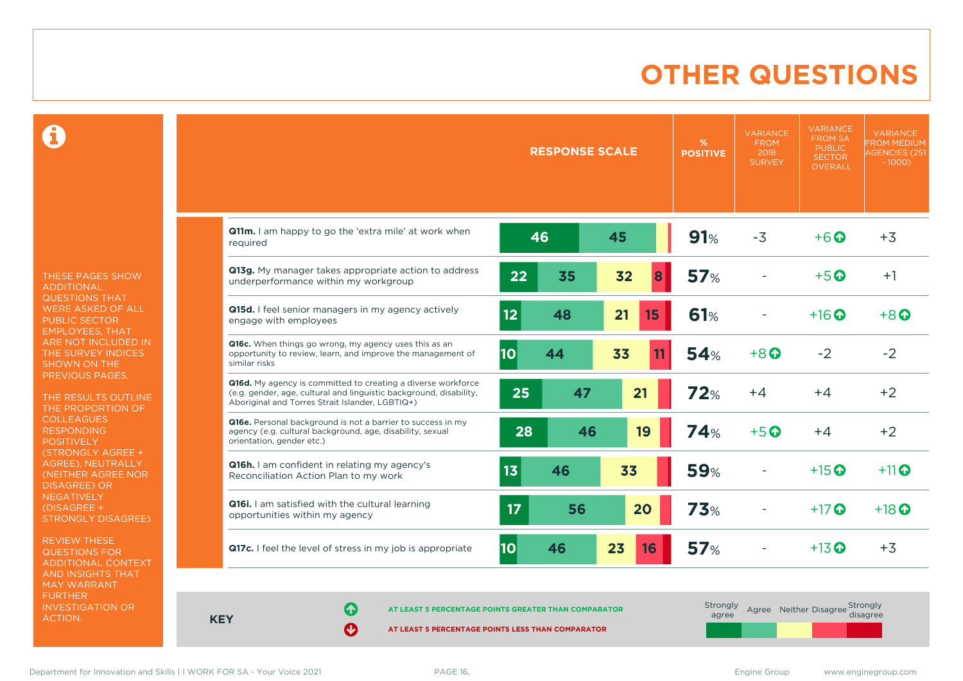# **OTHER QUESTIONS**

0

THESE PAGES SHOW ADDITIONAL QUESTIONS THAT WERE ASKED OF ALL PUBLIC SECTOR EMPLOYEES, THAT ARE NOT INCLUDED IN THE SURVEY INDICES SHOWN ON THE PREVIOUS PAGES.

THE RESULTS OUTLINE THE PROPORTION OF COLLEAGUES RESPONDING POSITIVELY (STRONGLY AGREE + AGREE), NEUTRALLY (NEITHER AGREE NOR DISAGREE) OR **NEGATIVELY** (DISAGREE + STRONGLY DISAGREE).

REVIEW THESE QUESTIONS FOR ADDITIONAL CONTEXT AND INSIGHTS THAT MAY WARRANT FURTHER INVESTIGATION OR ACTION.

|                                                                                                                                                                                       |           | <b>RESPONSE SCALE</b> |          | %<br><b>POSITIVE</b> | <b>VARIANCE</b><br><b>FROM</b><br>2018<br><b>SURVEY</b> | <b>VARIANCE</b><br><b>FROM SA</b><br><b>PUBLIC</b><br><b>SECTOR</b><br><b>OVERALL</b> | <b>VARIANCE</b><br><b>FROM MEDIUM</b><br><b>AGENCIES (251</b><br>$-1000$ ) |
|---------------------------------------------------------------------------------------------------------------------------------------------------------------------------------------|-----------|-----------------------|----------|----------------------|---------------------------------------------------------|---------------------------------------------------------------------------------------|----------------------------------------------------------------------------|
| Q11m. I am happy to go the 'extra mile' at work when<br>required                                                                                                                      |           | 46                    | 45       | 91%                  | $-3$                                                    | $+6$ $\odot$                                                                          | $+3$                                                                       |
| Q13g. My manager takes appropriate action to address<br>underperformance within my workgroup                                                                                          | 22        | 35                    | 32<br>8  | 57%                  |                                                         | $+5$ $\odot$                                                                          | $+1$                                                                       |
| Q15d. I feel senior managers in my agency actively<br>engage with employees                                                                                                           | 12        | 48                    | 21<br>15 | <b>61%</b>           |                                                         | $+16$ $\odot$                                                                         | $+8$ $\odot$                                                               |
| Q16c. When things go wrong, my agency uses this as an<br>opportunity to review, learn, and improve the management of<br>similar risks                                                 | <b>10</b> | 44                    | 33<br>11 | 54%                  | $+8$ $\odot$                                            | $-2$                                                                                  | $-2$                                                                       |
| Q16d. My agency is committed to creating a diverse workforce<br>(e.g. gender, age, cultural and linguistic background, disability,<br>Aboriginal and Torres Strait Islander, LGBTIQ+) | 25        | 47                    | 21       | 72%                  | $+4$                                                    | $+4$                                                                                  | $+2$                                                                       |
| Q16e. Personal background is not a barrier to success in my<br>agency (e.g. cultural background, age, disability, sexual<br>orientation, gender etc.)                                 | 28        | 46                    | 19       | <b>74%</b>           | $+5$ $\odot$                                            | $+4$                                                                                  | $+2$                                                                       |
| Q16h. I am confident in relating my agency's<br>Reconciliation Action Plan to my work                                                                                                 | 13        | 46                    | 33       | <b>59%</b>           |                                                         | $+15$ <sup>O</sup>                                                                    | $+11$ <sup>O</sup>                                                         |
| Q16i. I am satisfied with the cultural learning<br>opportunities within my agency                                                                                                     | 17        | 56                    | 20       | 73%                  |                                                         | $+17$ $\odot$                                                                         | $+18$ $\odot$                                                              |
| Q17c. I feel the level of stress in my job is appropriate                                                                                                                             | <b>10</b> | 46                    | 23<br>16 | 57%                  |                                                         | $+13$ $\odot$                                                                         | $+3$                                                                       |

**KEY**

**AT LEAST 5 PERCENTAGE POINTS GREATER THAN COMPARATOR** 

| Strongly<br>agree |  | Agree Neither Disagree Strongly<br>disagree |
|-------------------|--|---------------------------------------------|
|                   |  |                                             |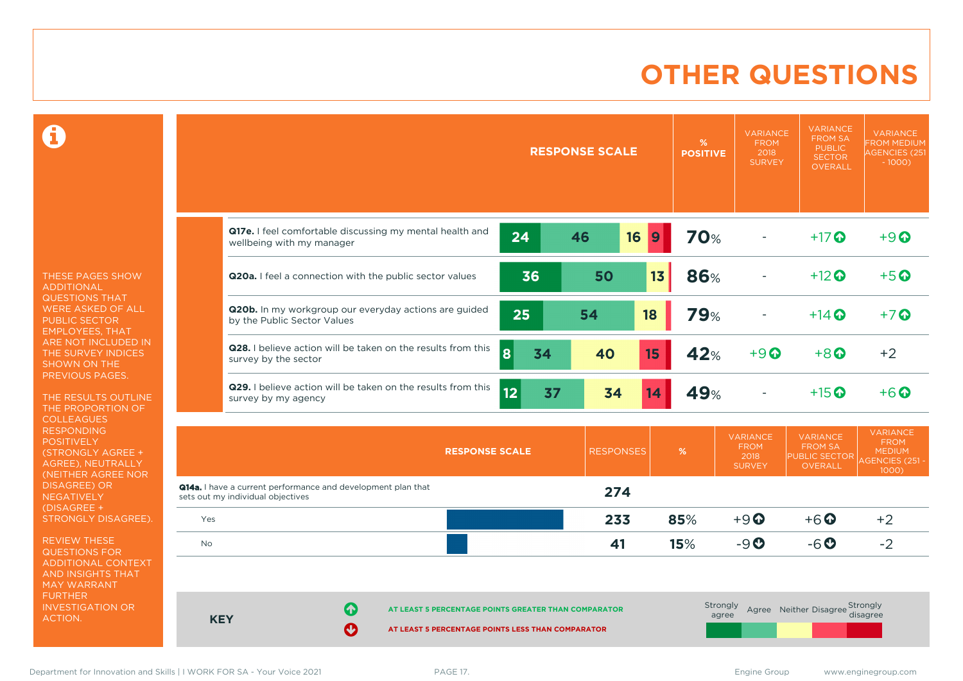# **OTHER QUESTIONS**

 $\mathbf \Omega$ 

THESE PAGES SHOW ADDITIONAL QUESTIONS THAT WERE ASKED OF ALL PUBLIC SECTOR EMPLOYEES, THAT ARE NOT INCLUDED IN THE SURVEY INDICES SHOWN ON THE PREVIOUS PAGES.

THE RESULTS OUTLINE THE PROPORTION OF COLLEAGUES RESPONDING **POSITIVELY** (STRONGLY AGREE + AGREE), NEUTRALLY (NEITHER AGREE NOR DISAGREE) OR NEGATIVELY (DISAGREE + STRONGLY DISAGREE).

REVIEW THESE QUESTIONS FOR ADDITIONAL CONTEXT AND INSIGHTS THAT MAY WARRANT FURTHER INVESTIGATION OR ACTION.

|                                   |                                                                                      |                                                                                                           |          | <b>RESPONSE SCALE</b> |                  | %<br><b>POSITIVE</b> | <b>VARIANCE</b><br><b>FROM</b><br>2018<br><b>SURVEY</b> | <b>VARIANCE</b><br><b>FROM SA</b><br><b>PUBLIC</b><br><b>SECTOR</b><br><b>OVERALL</b> | <b>VARIANCE</b><br><b>FROM MEDIUM</b><br><b>AGENCIES (251</b><br>$-1000$ )           |
|-----------------------------------|--------------------------------------------------------------------------------------|-----------------------------------------------------------------------------------------------------------|----------|-----------------------|------------------|----------------------|---------------------------------------------------------|---------------------------------------------------------------------------------------|--------------------------------------------------------------------------------------|
|                                   | wellbeing with my manager                                                            | Q17e. I feel comfortable discussing my mental health and                                                  | 24       | 46<br>16              | $\boldsymbol{9}$ | <b>70%</b>           |                                                         | $+17$ $\odot$                                                                         | $+9$ <sup><math>\odot</math></sup>                                                   |
|                                   | Q20a. I feel a connection with the public sector values                              |                                                                                                           | 36       | 50                    | 13 <sub>1</sub>  | <b>86%</b>           |                                                         | $+12$ <sup>O</sup>                                                                    | $+5$ <sup><math>\odot</math></sup>                                                   |
|                                   | Q20b. In my workgroup our everyday actions are guided<br>by the Public Sector Values |                                                                                                           | 25       | 54                    | 18               | <b>79%</b>           |                                                         | $+14$ $\odot$                                                                         | $+7$ $\odot$                                                                         |
|                                   | survey by the sector                                                                 | Q28. I believe action will be taken on the results from this                                              | 8<br>34  | 40                    | 15               | 42%                  | $+9$ <sup><math>\odot</math></sup>                      | $+8$                                                                                  | $+2$                                                                                 |
|                                   | survey by my agency                                                                  | Q29. I believe action will be taken on the results from this                                              | 12<br>37 | 34                    | 14               | 49%                  |                                                         | $+15$ <sup>O</sup>                                                                    | $+6$ $\odot$                                                                         |
|                                   |                                                                                      | <b>RESPONSE SCALE</b>                                                                                     |          | <b>RESPONSES</b>      |                  | %                    | <b>VARIANCE</b><br><b>FROM</b><br>2018<br><b>SURVEY</b> | <b>VARIANCE</b><br><b>FROM SA</b><br>PUBLIC SECTOR<br><b>OVERALL</b>                  | <b>VARIANCE</b><br><b>FROM</b><br><b>MEDIUM</b><br><b>AGENCIES (251-</b><br>$1000$ ) |
| sets out my individual objectives | Q14a. I have a current performance and development plan that                         |                                                                                                           |          | 274                   |                  |                      |                                                         |                                                                                       |                                                                                      |
| Yes                               |                                                                                      |                                                                                                           |          | 233                   |                  | 85%                  | $+9$ <sup><math>\odot</math></sup>                      | $+6$ $\odot$                                                                          | $+2$                                                                                 |
| No                                |                                                                                      |                                                                                                           |          | 41                    |                  | 15%                  | $-9O$                                                   | $-6o$                                                                                 | $-2$                                                                                 |
| <b>KEY</b>                        | 61<br>Ø                                                                              | AT LEAST 5 PERCENTAGE POINTS GREATER THAN COMPARATOR<br>AT LEAST 5 PERCENTAGE POINTS LESS THAN COMPARATOR |          |                       |                  | Strongly<br>agree    |                                                         | Agree Neither Disagree Strongly                                                       | disagree                                                                             |

Department for Innovation and Skills | I WORK FOR SA - Your Voice 2021 PAGE 17. The Same Communication of the Same Group www.enginegroup.com

 $\overline{\phantom{a}}$ 

 $\frac{1}{2}$ 

 $\overline{\phantom{a}}$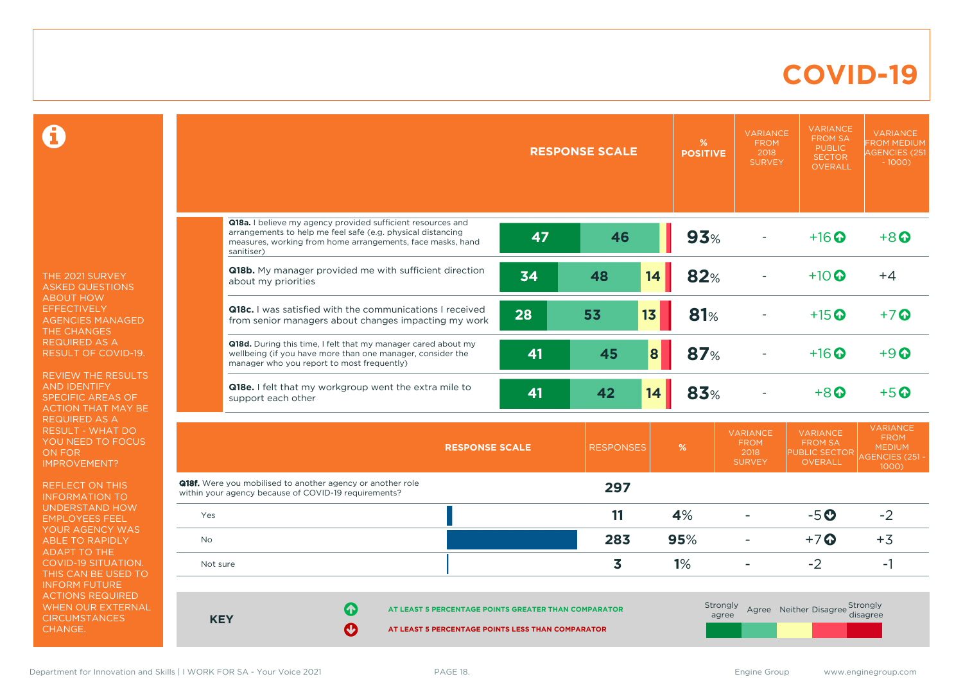### **COVID-19**

 $\mathbf \Omega$ 

THE 2021 SURVEY ASKED QUESTIONS ABOUT HOW **EFFECTIVELY** AGENCIES MANAGED THE CHANGES REQUIRED AS A RESULT OF COVID-19.

REVIEW THE RESULTS AND IDENTIFY SPECIFIC AREAS OF ACTION THAT MAY BE REQUIRED AS A RESULT - WHAT DO YOU NEED TO FOCUS ON FOR IMPROVEMENT?

REFLECT ON THIS INFORMATION TO UNDERSTAND HOW EMPLOYEES FEEL YOUR AGENCY WAS ABLE TO RAPIDLY ADAPT TO THE COVID-19 SITUATION. THIS CAN BE USED TO INFORM FUTURE ACTIONS REQUIRED WHEN OUR EXTERNAL **CIRCUMSTANCES** CHANGE.

|            |                                                                                                                                                                                                        |                       | <b>RESPONSE SCALE</b> | %<br><b>POSITIVE</b> | <b>VARIANCE</b><br><b>FROM</b><br>2018<br><b>SURVEY</b> | <b>VARIANCE</b><br><b>FROM SA</b><br><b>PUBLIC</b><br><b>SECTOR</b><br><b>OVERALL</b> | <b>VARIANCE</b><br><b>FROM MEDIUM</b><br><b>AGENCIES (251</b><br>$-1000$          |
|------------|--------------------------------------------------------------------------------------------------------------------------------------------------------------------------------------------------------|-----------------------|-----------------------|----------------------|---------------------------------------------------------|---------------------------------------------------------------------------------------|-----------------------------------------------------------------------------------|
|            | Q18a. I believe my agency provided sufficient resources and<br>arrangements to help me feel safe (e.g. physical distancing<br>measures, working from home arrangements, face masks, hand<br>sanitiser) | 47                    | 46                    | 93%                  |                                                         | $+16$ <sup>O</sup>                                                                    | $+8$                                                                              |
|            | Q18b. My manager provided me with sufficient direction<br>about my priorities                                                                                                                          | 34                    | 48                    | 14<br>82%            |                                                         | $+10$ $\Omega$                                                                        | $+4$                                                                              |
|            | <b>Q18c.</b> I was satisfied with the communications I received<br>from senior managers about changes impacting my work                                                                                | 28                    | 13<br>53              | 81%                  |                                                         | $+15$ $\odot$                                                                         | $+7$ $\odot$                                                                      |
|            | Q18d. During this time, I felt that my manager cared about my<br>wellbeing (if you have more than one manager, consider the<br>manager who you report to most frequently)                              | 41                    | 45                    | 87%<br>8             |                                                         | $+16$ $\odot$                                                                         | $+9$ $\Omega$                                                                     |
|            | <b>Q18e.</b> I felt that my workgroup went the extra mile to<br>support each other                                                                                                                     | 41                    | 42                    | 83%<br>14            |                                                         | $+8$ <sup><math>\Omega</math></sup>                                                   | $+5$ <sup>O</sup>                                                                 |
|            |                                                                                                                                                                                                        | <b>RESPONSE SCALE</b> | <b>RESPONSES</b>      | %                    | <b>VARIANCE</b><br><b>FROM</b><br>2018<br><b>SURVEY</b> | <b>VARIANCE</b><br><b>FROM SA</b><br>PUBLIC SECTOR<br><b>OVERALL</b>                  | <b>VARIANCE</b><br><b>FROM</b><br><b>MEDIUM</b><br><b>AGENCIES (251 -</b><br>1000 |
|            | Q18f. Were you mobilised to another agency or another role<br>within your agency because of COVID-19 requirements?                                                                                     |                       | 297                   |                      |                                                         |                                                                                       |                                                                                   |
| Yes        |                                                                                                                                                                                                        |                       | 11                    | 4%                   | ۳                                                       | $-5o$                                                                                 | $-2$                                                                              |
| No         |                                                                                                                                                                                                        |                       | 283                   | 95%                  | $\overline{\phantom{0}}$                                | $+7$ <sup>O</sup>                                                                     | $+3$                                                                              |
| Not sure   |                                                                                                                                                                                                        |                       | 3                     | 1%                   |                                                         | $-2$                                                                                  | $-1$                                                                              |
| <b>KEY</b> | 6<br>AT LEAST 5 PERCENTAGE POINTS GREATER THAN COMPARATOR<br>Ø<br>AT LEAST 5 PERCENTAGE POINTS LESS THAN COMPARATOR                                                                                    |                       |                       | Strongly             | agree                                                   | Agree Neither Disagree Strongly                                                       | disagree                                                                          |

Department for Innovation and Skills | I WORK FOR SA - Your Voice 2021 PAGE 18. The School School and Skills | I WORK FOR SA - Your Voice 2021 PAGE 18.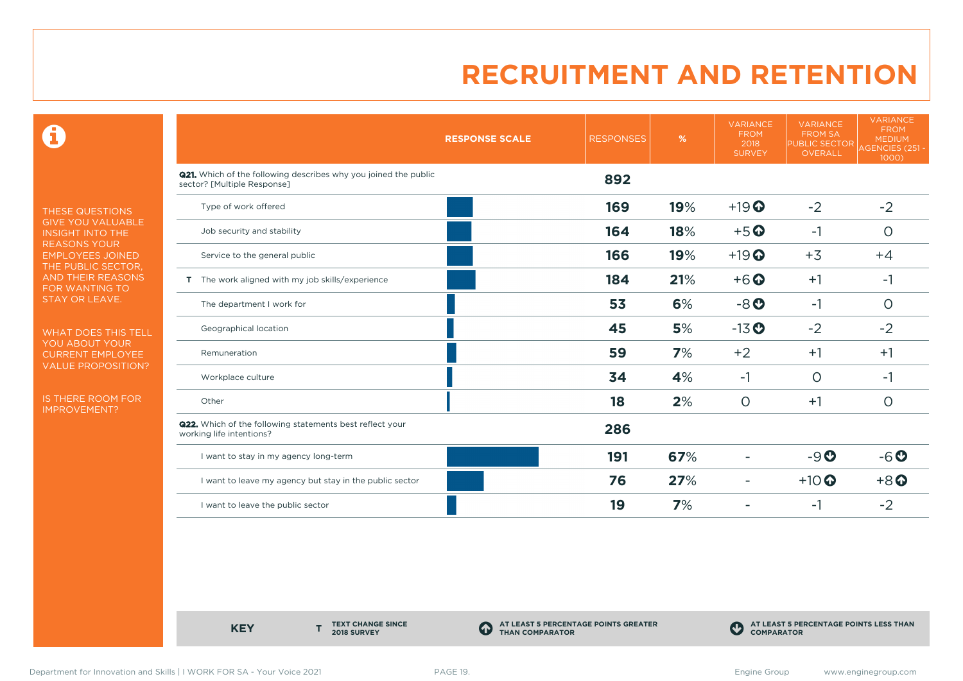0

THESE QUESTIONS GIVE YOU VALUABLE INSIGHT INTO THE REASONS YOUR EMPLOYEES JOINED THE PUBLIC SECTOR, AND THEIR REASONS FOR WANTING TO STAY OR LEAVE.

WHAT DOES THIS TELL YOU ABOUT YOUR CURRENT EMPLOYEE VALUE PROPOSITION?

IS THERE ROOM FOR IMPROVEMENT?

|                                                                                                       | <b>RESPONSE SCALE</b> | <b>RESPONSES</b> | %   | <b>VARIANCE</b><br><b>FROM</b><br>2018<br><b>SURVEY</b> | <b>VARIANCE</b><br><b>FROM SA</b><br><b>PUBLIC SECTOR</b><br>OVERALL<br>$-2$<br>$-1$<br>$+3$<br>$+1$<br>$-1$<br>$-2$<br>$+1$<br>$\circ$<br>$+1$ | <b>VARIANCE</b><br><b>FROM</b><br><b>MEDIUM</b><br><b>AGENCIES (251 -</b><br>$1000$ ) |
|-------------------------------------------------------------------------------------------------------|-----------------------|------------------|-----|---------------------------------------------------------|-------------------------------------------------------------------------------------------------------------------------------------------------|---------------------------------------------------------------------------------------|
| <b>Q21.</b> Which of the following describes why you joined the public<br>sector? [Multiple Response] |                       | 892              |     |                                                         |                                                                                                                                                 |                                                                                       |
| Type of work offered                                                                                  |                       | 169              | 19% | $+19$ <sup>O</sup>                                      |                                                                                                                                                 | $-2$                                                                                  |
| Job security and stability                                                                            |                       | 164              | 18% | $+5$ <sup>O</sup>                                       |                                                                                                                                                 | $\circ$                                                                               |
| Service to the general public                                                                         |                       | 166              | 19% | $+19$ <sup>O</sup>                                      |                                                                                                                                                 | $+4$                                                                                  |
| T The work aligned with my job skills/experience                                                      |                       | 184              | 21% | $+6$ $\odot$                                            |                                                                                                                                                 | $-1$                                                                                  |
| The department I work for                                                                             |                       | 53               | 6%  | $-8o$                                                   |                                                                                                                                                 | $\circ$                                                                               |
| Geographical location                                                                                 |                       | 45               | 5%  | $-13$ <sup>O</sup>                                      |                                                                                                                                                 | $-2$                                                                                  |
| Remuneration                                                                                          |                       | 59               | 7%  | $+2$                                                    |                                                                                                                                                 | $+1$                                                                                  |
| Workplace culture                                                                                     |                       | 34               | 4%  | -1                                                      |                                                                                                                                                 | -1                                                                                    |
| Other                                                                                                 |                       | 18               | 2%  | $\circ$                                                 |                                                                                                                                                 | $\circ$                                                                               |
| <b>Q22.</b> Which of the following statements best reflect your<br>working life intentions?           |                       | 286              |     |                                                         |                                                                                                                                                 |                                                                                       |
| I want to stay in my agency long-term                                                                 |                       | 191              | 67% |                                                         | $-9O$                                                                                                                                           | $-6o$                                                                                 |
| I want to leave my agency but stay in the public sector                                               |                       | 76               | 27% | ٠                                                       | $+10$ <sup>O</sup>                                                                                                                              | $+8$ <sup>O</sup>                                                                     |
| I want to leave the public sector                                                                     |                       | 19               | 7%  |                                                         | -1                                                                                                                                              | $-2$                                                                                  |

**KEY** 

**TEXT CHANGE SINCE 2018 SURVEY**

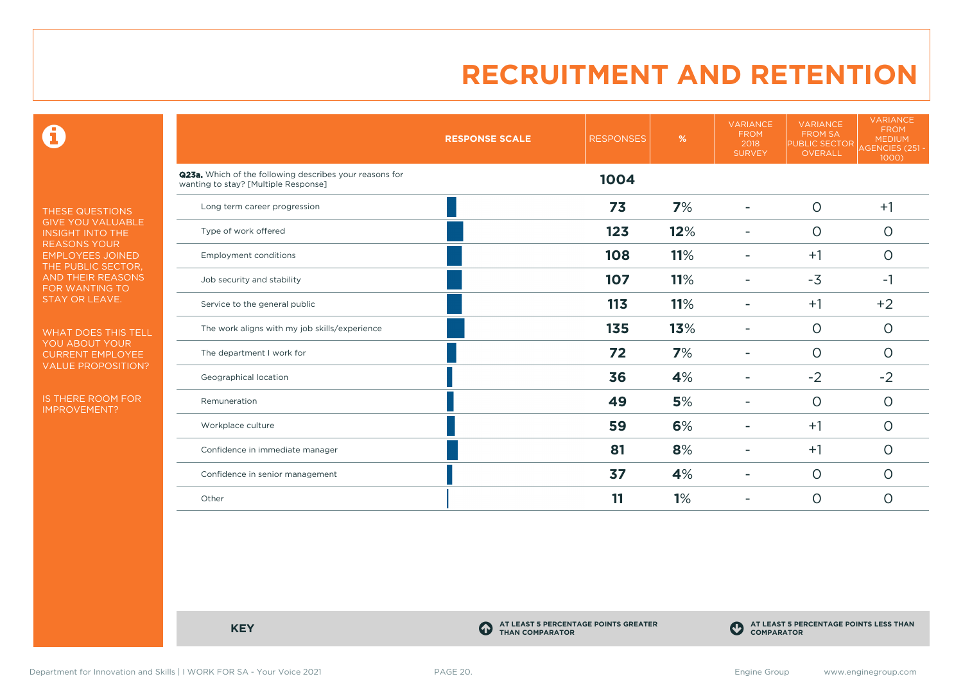$\mathbf \Theta$ 

THESE QUESTIONS GIVE YOU VALUABLE INSIGHT INTO THE REASONS YOUR EMPLOYEES JOINED THE PUBLIC SECTOR, AND THEIR REASONS FOR WANTING TO STAY OR LEAVE.

WHAT DOES THIS TELL YOU ABOUT YOUR CURRENT EMPLOYEE VALUE PROPOSITION?

IS THERE ROOM FOR IMPROVEMENT?

|                                                                                                 | <b>RESPONSE SCALE</b> | <b>RESPONSES</b> | %   | <b>VARIANCE</b><br><b>FROM</b><br>2018<br><b>SURVEY</b> | <b>VARIANCE</b><br><b>FROM SA</b><br><b>PUBLIC SECTOR</b><br>OVERALL | <b>VARIANCE</b><br><b>FROM</b><br><b>MEDIUM</b><br>AGENCIES (251 -<br>1000) |
|-------------------------------------------------------------------------------------------------|-----------------------|------------------|-----|---------------------------------------------------------|----------------------------------------------------------------------|-----------------------------------------------------------------------------|
| Q23a. Which of the following describes your reasons for<br>wanting to stay? [Multiple Response] |                       | 1004             |     |                                                         |                                                                      |                                                                             |
| Long term career progression                                                                    |                       | 73               | 7%  |                                                         | $\circ$                                                              | $+1$                                                                        |
| Type of work offered                                                                            |                       | 123              | 12% |                                                         | $\circ$                                                              | $\circ$                                                                     |
| <b>Employment conditions</b>                                                                    |                       | 108              | 11% | ۰                                                       | $+1$                                                                 | $\circ$                                                                     |
| Job security and stability                                                                      |                       | 107              | 11% |                                                         | $-3$                                                                 | $-1$                                                                        |
| Service to the general public                                                                   |                       | 113              | 11% |                                                         | $+1$                                                                 | $+2$                                                                        |
| The work aligns with my job skills/experience                                                   |                       | 135              | 13% |                                                         | $\circ$                                                              | $\circ$                                                                     |
| The department I work for                                                                       |                       | 72               | 7%  |                                                         | $\circ$                                                              | $\circ$                                                                     |
| Geographical location                                                                           |                       | 36               | 4%  |                                                         | $-2$                                                                 | $-2$                                                                        |
| Remuneration                                                                                    |                       | 49               | 5%  |                                                         | $\circ$                                                              | $\circ$                                                                     |
| Workplace culture                                                                               |                       | 59               | 6%  |                                                         | $+1$                                                                 | $\circ$                                                                     |
| Confidence in immediate manager                                                                 |                       | 81               | 8%  |                                                         | $+1$                                                                 | $\circ$                                                                     |
| Confidence in senior management                                                                 |                       | 37               | 4%  |                                                         | $\circ$                                                              | $\circ$                                                                     |
| Other                                                                                           |                       | 11               | 1%  |                                                         | $\circ$                                                              | O                                                                           |

**KEY C** 

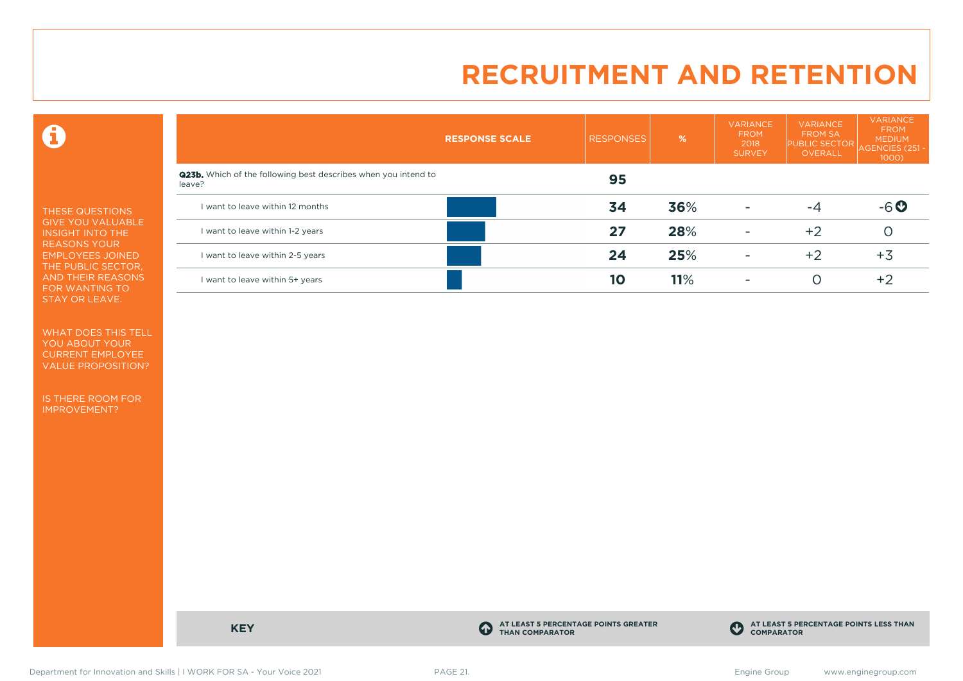$\mathbf \Theta$ 

THESE QUESTIONS GIVE YOU VALUABLE INSIGHT INTO THE REASONS YOUR EMPLOYEES JOINED THE PUBLIC SECTOR, AND THEIR REASONS FOR WANTING TO STAY OR LEAVE.

WHAT DOES THIS TELL YOU ABOUT YOUR CURRENT EMPLOYEE VALUE PROPOSITION?

IS THERE ROOM FOR IMPROVEMENT?

|                                                                                 | <b>RESPONSE SCALE</b> | <b>RESPONSES</b> | %   | <b>VARIANCE</b><br><b>FROM</b><br>2018<br><b>SURVEY</b> | <b>VARIANCE</b><br><b>FROM SA</b><br><b>PUBLIC SECTOR</b><br>OVERALL | <b>VARIANCE</b><br><b>FROM</b><br><b>MEDIUM</b><br>AGENCIES (251<br>1000) |
|---------------------------------------------------------------------------------|-----------------------|------------------|-----|---------------------------------------------------------|----------------------------------------------------------------------|---------------------------------------------------------------------------|
| <b>Q23b.</b> Which of the following best describes when you intend to<br>leave? |                       | 95               |     |                                                         |                                                                      |                                                                           |
| I want to leave within 12 months                                                |                       | 34               | 36% | ۰                                                       | -4                                                                   | $-6o$                                                                     |
| I want to leave within 1-2 years                                                |                       | 27               | 28% | ۰                                                       | $+2$                                                                 |                                                                           |
| I want to leave within 2-5 years                                                |                       | 24               | 25% | $\overline{\phantom{0}}$                                | $+2$                                                                 | $+3$                                                                      |
| I want to leave within 5+ years                                                 |                       | 10               | 11% | ٠                                                       |                                                                      | $+2$                                                                      |

**KEY C** 

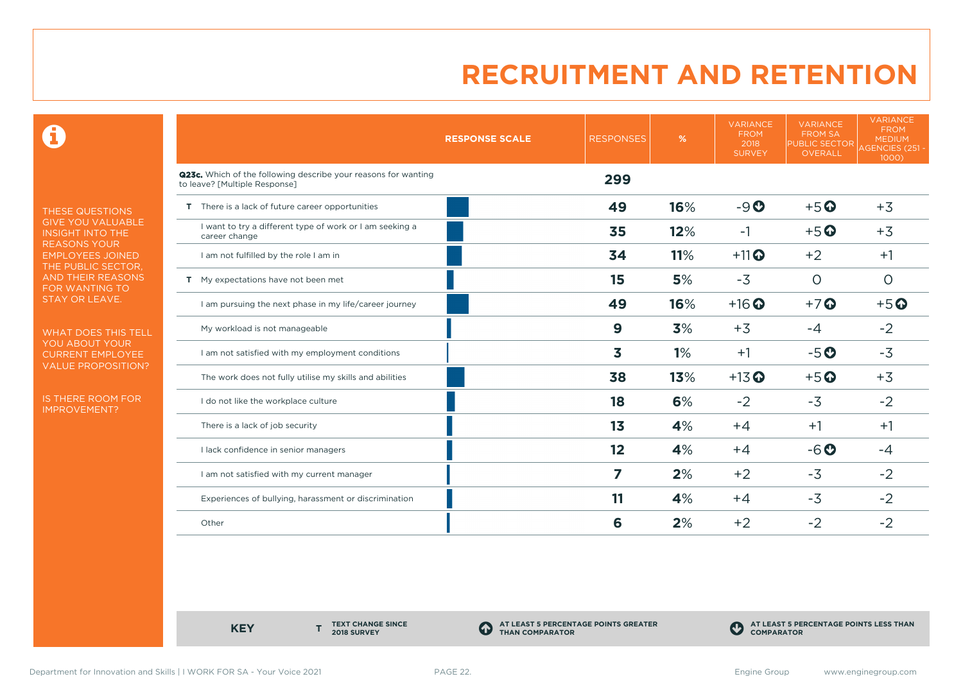0

THESE QUESTIONS GIVE YOU VALUABLE INSIGHT INTO THE REASONS YOUR EMPLOYEES JOINED THE PUBLIC SECTOR, AND THEIR REASONS FOR WANTING TO STAY OR LEAVE.

WHAT DOES THIS TELL YOU ABOUT YOUR CURRENT EMPLOYEE VALUE PROPOSITION?

IS THERE ROOM FOR IMPROVEMENT?

|                                                                                                 | <b>RESPONSE SCALE</b> | <b>RESPONSES</b> | %   | <b>VARIANCE</b><br><b>FROM</b><br>2018<br><b>SURVEY</b> | <b>VARIANCE</b><br><b>FROM SA</b><br><b>PUBLIC SECTOR</b><br>OVERALL | <b>VARIANCE</b><br><b>FROM</b><br><b>MEDIUM</b><br>AGENCIES (251 -<br>1000) |
|-------------------------------------------------------------------------------------------------|-----------------------|------------------|-----|---------------------------------------------------------|----------------------------------------------------------------------|-----------------------------------------------------------------------------|
| Q23c. Which of the following describe your reasons for wanting<br>to leave? [Multiple Response] |                       | 299              |     |                                                         |                                                                      |                                                                             |
| T There is a lack of future career opportunities                                                |                       | 49               | 16% | $-9O$                                                   | $+5$ <sup>O</sup>                                                    | $+3$                                                                        |
| I want to try a different type of work or I am seeking a<br>career change                       |                       | 35               | 12% | $-1$                                                    | $+5$ <sup>O</sup>                                                    | $+3$                                                                        |
| I am not fulfilled by the role I am in                                                          |                       | 34               | 11% | $+11$ <sup>O</sup>                                      | $+2$                                                                 | $+1$                                                                        |
| T My expectations have not been met                                                             |                       | 15               | 5%  | $-3$                                                    | $\circ$                                                              | $\circ$                                                                     |
| I am pursuing the next phase in my life/career journey                                          |                       | 49               | 16% | $+16$ <sup>O</sup>                                      | $+7$                                                                 | $+5$ <sup>O</sup>                                                           |
| My workload is not manageable                                                                   |                       | 9                | 3%  | $+3$                                                    | $-4$                                                                 | $-2$                                                                        |
| I am not satisfied with my employment conditions                                                |                       | 3                | 1%  | $+1$                                                    | $-5o$                                                                | $-3$                                                                        |
| The work does not fully utilise my skills and abilities                                         |                       | 38               | 13% | $+13$ <sup>O</sup>                                      | $+5o$                                                                | $+3$                                                                        |
| I do not like the workplace culture                                                             |                       | 18               | 6%  | $-2$                                                    | $-3$                                                                 | $-2$                                                                        |
| There is a lack of job security                                                                 |                       | 1 <sub>3</sub>   | 4%  | $+4$                                                    | $+1$                                                                 | $+1$                                                                        |
| I lack confidence in senior managers                                                            |                       | 12               | 4%  | $+4$                                                    | $-6o$                                                                | $-4$                                                                        |
| I am not satisfied with my current manager                                                      |                       | 7                | 2%  | $+2$                                                    | $-3$                                                                 | $-2$                                                                        |
| Experiences of bullying, harassment or discrimination                                           |                       | 11               | 4%  | $+4$                                                    | $-3$                                                                 | $-2$                                                                        |
| Other                                                                                           |                       | 6                | 2%  | $+2$                                                    | $-2$                                                                 | $-2$                                                                        |

**KEY** 

**TEXT CHANGE SINCE 2018 SURVEY**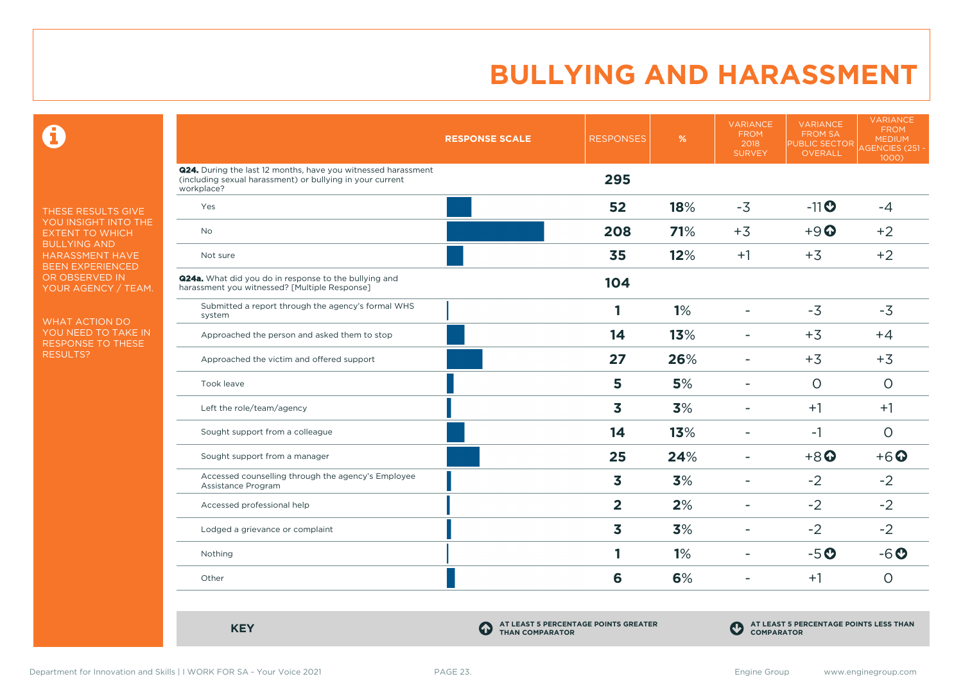$\mathbf \Omega$ 

THESE RESULTS GIVE YOU INSIGHT INTO THE EXTENT TO WHICH BULLYING AND HARASSMENT HAVE BEEN EXPERIENCED OR OBSERVED IN YOUR AGENCY / TEAM.

WHAT ACTION DO YOU NEED TO TAKE IN RESPONSE TO THESE RESULTS?

|                                                                                                                                          | <b>RESPONSE SCALE</b> | <b>RESPONSES</b> | %   | <b>VARIANCE</b><br><b>FROM</b><br>2018<br><b>SURVEY</b> | <b>VARIANCE</b><br><b>FROM SA</b><br><b>PUBLIC SECTOR</b><br>OVERALL | <b>VARIANCE</b><br><b>FROM</b><br><b>MEDIUM</b><br><b>AGENCIES (251 -</b><br>1000) |
|------------------------------------------------------------------------------------------------------------------------------------------|-----------------------|------------------|-----|---------------------------------------------------------|----------------------------------------------------------------------|------------------------------------------------------------------------------------|
| Q24. During the last 12 months, have you witnessed harassment<br>(including sexual harassment) or bullying in your current<br>workplace? |                       | 295              |     |                                                         |                                                                      |                                                                                    |
| Yes                                                                                                                                      |                       | 52               | 18% | $-3$                                                    | $-11$ <sup>O</sup>                                                   | $-4$                                                                               |
| <b>No</b>                                                                                                                                |                       | 208              | 71% | $+3$                                                    | $+9$ <sup><math>\odot</math></sup>                                   | $+2$                                                                               |
| Not sure                                                                                                                                 |                       | 35               | 12% | $+1$                                                    | $+3$                                                                 | $+2$                                                                               |
| <b>Q24a.</b> What did you do in response to the bullying and<br>harassment you witnessed? [Multiple Response]                            |                       | 104              |     |                                                         |                                                                      |                                                                                    |
| Submitted a report through the agency's formal WHS<br>system                                                                             |                       | 1                | 1%  |                                                         | $-3$                                                                 | $-3$                                                                               |
| Approached the person and asked them to stop                                                                                             |                       | 14               | 13% |                                                         | $+3$                                                                 | $+4$                                                                               |
| Approached the victim and offered support                                                                                                |                       | 27               | 26% |                                                         | $+3$                                                                 | $+3$                                                                               |
| Took leave                                                                                                                               |                       | 5                | 5%  | ٠                                                       | $\circ$                                                              | $\circ$                                                                            |
| Left the role/team/agency                                                                                                                |                       | 3                | 3%  | ٠                                                       | $+1$                                                                 | $+1$                                                                               |
| Sought support from a colleague                                                                                                          |                       | 14               | 13% |                                                         | $-1$                                                                 | $\circ$                                                                            |
| Sought support from a manager                                                                                                            |                       | 25               | 24% |                                                         | $+8$ <sup>O</sup>                                                    | $+6$ <sup><math>\odot</math></sup>                                                 |
| Accessed counselling through the agency's Employee<br>Assistance Program                                                                 |                       | 3                | 3%  | $\overline{\phantom{a}}$                                | $-2$                                                                 | $-2$                                                                               |
| Accessed professional help                                                                                                               |                       | $\overline{2}$   | 2%  | $\blacksquare$                                          | $-2$                                                                 | $-2$                                                                               |
| Lodged a grievance or complaint                                                                                                          |                       | 3                | 3%  | $\blacksquare$                                          | $-2$                                                                 | $-2$                                                                               |
| Nothing                                                                                                                                  |                       | 1                | 1%  | $\overline{\phantom{a}}$                                | $-5o$                                                                | $-6o$                                                                              |
| Other                                                                                                                                    |                       | 6                | 6%  |                                                         | $+1$                                                                 | $\circ$                                                                            |

**KEY C**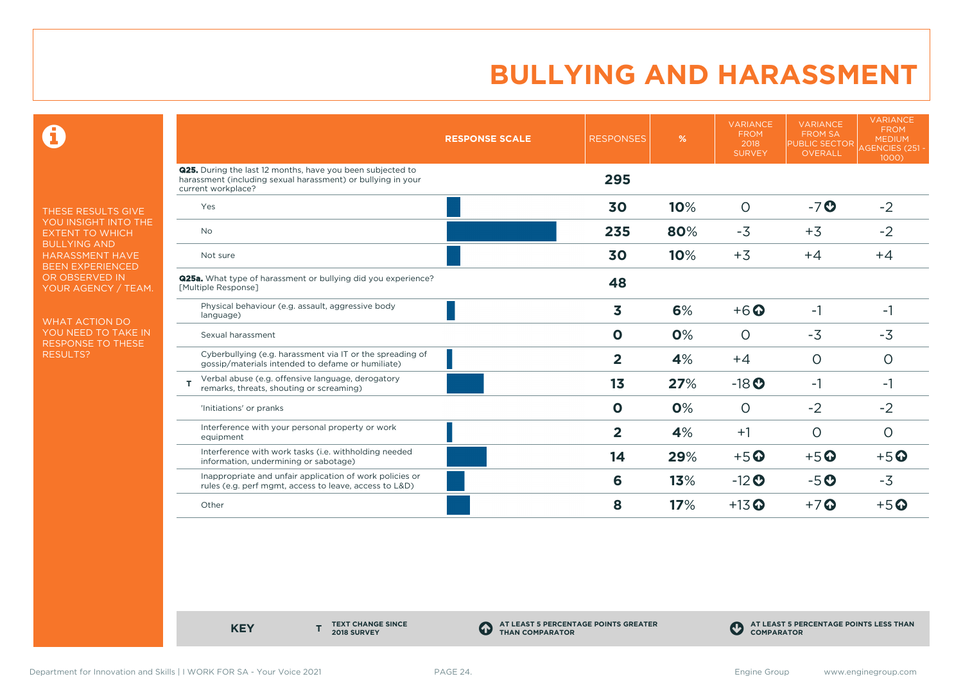$\mathbf \Theta$ 

THESE RESULTS GIVE YOU INSIGHT INTO THE EXTENT TO WHICH BULLYING AND HARASSMENT HAVE BEEN EXPERIENCED OR OBSERVED IN YOUR AGENCY / TEAM.

WHAT ACTION DO YOU NEED TO TAKE IN RESPONSE TO THESE RESULTS?

|                                                                                                                                                         | <b>RESPONSE SCALE</b> | <b>RESPONSES</b> | %   | <b>VARIANCE</b><br><b>FROM</b><br>2018<br><b>SURVEY</b> | <b>VARIANCE</b><br><b>FROM SA</b><br><b>PUBLIC SECTOR</b><br><b>OVERALL</b> | <b>VARIANCE</b><br><b>FROM</b><br><b>MEDIUM</b><br><b>AGENCIES (251-</b><br>1000) |
|---------------------------------------------------------------------------------------------------------------------------------------------------------|-----------------------|------------------|-----|---------------------------------------------------------|-----------------------------------------------------------------------------|-----------------------------------------------------------------------------------|
| <b>Q25.</b> During the last 12 months, have you been subjected to<br>harassment (including sexual harassment) or bullying in your<br>current workplace? |                       | 295              |     |                                                         |                                                                             |                                                                                   |
| Yes                                                                                                                                                     |                       | 30               | 10% | $\circ$                                                 | $-7o$                                                                       | $-2$                                                                              |
| <b>No</b>                                                                                                                                               |                       | 235              | 80% | $-3$                                                    | $+3$                                                                        | $-2$                                                                              |
| Not sure                                                                                                                                                |                       | 30               | 10% | $+3$                                                    | $+4$                                                                        | $+4$                                                                              |
| <b>Q25a.</b> What type of harassment or bullying did you experience?<br>[Multiple Response]                                                             |                       | 48               |     |                                                         |                                                                             |                                                                                   |
| Physical behaviour (e.g. assault, aggressive body<br>language)                                                                                          |                       | 3                | 6%  | $+6$ <sup><math>\odot</math></sup>                      | $-1$                                                                        | $-1$                                                                              |
| Sexual harassment                                                                                                                                       |                       | $\mathbf 0$      | 0%  | $\circ$                                                 | $-3$                                                                        | $-3$                                                                              |
| Cyberbullying (e.g. harassment via IT or the spreading of<br>gossip/materials intended to defame or humiliate)                                          |                       | $\overline{2}$   | 4%  | $+4$                                                    | $\circ$                                                                     | $\circ$                                                                           |
| Verbal abuse (e.g. offensive language, derogatory<br>remarks, threats, shouting or screaming)                                                           |                       | 1 <sub>3</sub>   | 27% | $-18$ <b>O</b>                                          | $-1$                                                                        | $-1$                                                                              |
| 'Initiations' or pranks                                                                                                                                 |                       | $\mathbf 0$      | 0%  | $\circ$                                                 | $-2$                                                                        | $-2$                                                                              |
| Interference with your personal property or work<br>equipment                                                                                           |                       | $\overline{2}$   | 4%  | $+1$                                                    | $\circ$                                                                     | $\circ$                                                                           |
| Interference with work tasks (i.e. withholding needed<br>information, undermining or sabotage)                                                          |                       | 14               | 29% | $+5$ <sup>O</sup>                                       | $+5$ <sup>O</sup>                                                           | $+5$ <sup>O</sup>                                                                 |
| Inappropriate and unfair application of work policies or<br>rules (e.g. perf mgmt, access to leave, access to L&D)                                      |                       | 6                | 13% | $-12$ <b>O</b>                                          | $-5o$                                                                       | $-3$                                                                              |
| Other                                                                                                                                                   |                       | 8                | 17% | $+13$ <sup>O</sup>                                      | $+7$ $\odot$                                                                | $+5$ <sup>O</sup>                                                                 |

**KEY** 

**TEXT CHANGE SINCE 2018 SURVEY**

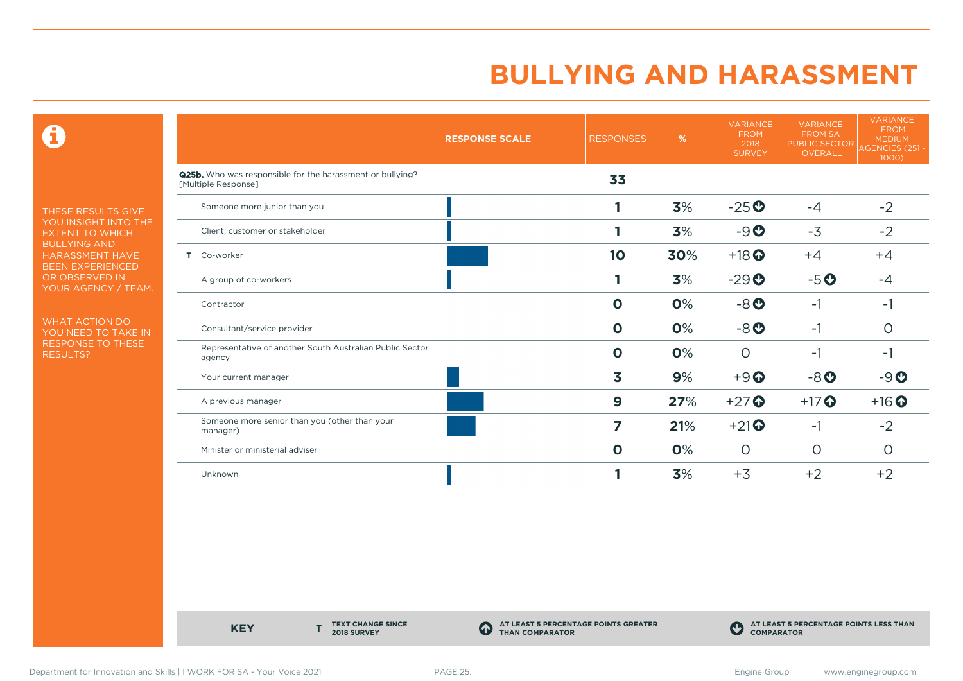$\mathbf \Theta$ 

THESE RESULTS GIVE YOU INSIGHT INTO THE EXTENT TO WHICH BULLYING AND HARASSMENT HAVE BEEN EXPERIENCED OR OBSERVED IN YOUR AGENCY / TEAM.

WHAT ACTION DO YOU NEED TO TAKE IN RESPONSE TO THESE RESULTS?

|                                                                                         | <b>RESPONSE SCALE</b> | <b>RESPONSES</b>        | $\%$ | <b>VARIANCE</b><br><b>FROM</b><br>2018<br><b>SURVEY</b> | <b>VARIANCE</b><br><b>FROM SA</b><br><b>PUBLIC SECTOR</b><br>OVERALL | <b>VARIANCE</b><br><b>FROM</b><br><b>MEDIUM</b><br>AGENCIES (251 -<br>1000 |
|-----------------------------------------------------------------------------------------|-----------------------|-------------------------|------|---------------------------------------------------------|----------------------------------------------------------------------|----------------------------------------------------------------------------|
| <b>Q25b.</b> Who was responsible for the harassment or bullying?<br>[Multiple Response] |                       | 33                      |      |                                                         |                                                                      |                                                                            |
| Someone more junior than you                                                            |                       |                         | 3%   | $-25o$                                                  | $-4$                                                                 | $-2$                                                                       |
| Client, customer or stakeholder                                                         |                       |                         | 3%   | $-9o$                                                   | $-3$                                                                 | $-2$                                                                       |
| T Co-worker                                                                             |                       | 10                      | 30%  | $+18$ <sup>O</sup>                                      | $+4$                                                                 | $+4$                                                                       |
| A group of co-workers                                                                   |                       |                         | 3%   | $-29$ <sup>O</sup>                                      | $-5o$                                                                | $-4$                                                                       |
| Contractor                                                                              |                       | $\mathbf{o}$            | 0%   | $-8o$                                                   | $-1$                                                                 | -1                                                                         |
| Consultant/service provider                                                             |                       | $\mathbf 0$             | 0%   | $-8o$                                                   | $-1$                                                                 | $\circ$                                                                    |
| Representative of another South Australian Public Sector<br>agency                      |                       | $\mathbf 0$             | 0%   | $\Omega$                                                | $-1$                                                                 | $-1$                                                                       |
| Your current manager                                                                    |                       | $\overline{\mathbf{3}}$ | 9%   | $+9$ <sup>O</sup>                                       | $-8o$                                                                | $-9O$                                                                      |
| A previous manager                                                                      |                       | $\boldsymbol{9}$        | 27%  | $+27$                                                   | $+17$ $\odot$                                                        | $+16$ <sup>O</sup>                                                         |
| Someone more senior than you (other than your<br>manager)                               |                       | 7                       | 21%  | $+21$                                                   | $-1$                                                                 | $-2$                                                                       |
| Minister or ministerial adviser                                                         |                       | $\mathbf 0$             | 0%   | $\circ$                                                 | $\circ$                                                              | $\circ$                                                                    |
| Unknown                                                                                 |                       |                         | 3%   | $+3$                                                    | $+2$                                                                 | $+2$                                                                       |

**KEY** 

**TEXT CHANGE SINCE 2018 SURVEY**

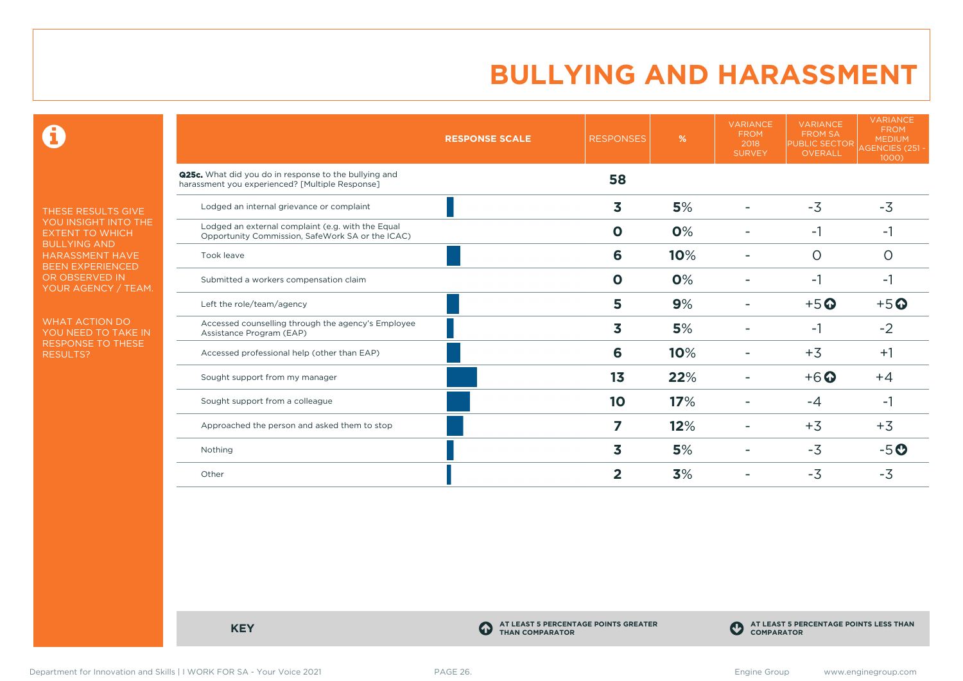$\mathbf \Theta$ 

THESE RESULTS GIVE YOU INSIGHT INTO THE EXTENT TO WHICH BULLYING AND HARASSMENT HAVE BEEN EXPERIENCED OR OBSERVED IN YOUR AGENCY / TEAM.

WHAT ACTION DO YOU NEED TO TAKE IN RESPONSE TO THESE RESULTS?

|                                                                                                                 | <b>RESPONSE SCALE</b> | <b>RESPONSES</b>        | %   | <b>VARIANCE</b><br><b>FROM</b><br>2018<br><b>SURVEY</b> | <b>VARIANCE</b><br><b>FROM SA</b><br><b>PUBLIC SECTOR</b><br><b>OVERALL</b> | <b>VARIANCE</b><br><b>FROM</b><br><b>MEDIUM</b><br>AGENCIES (251 -<br>1000 |
|-----------------------------------------------------------------------------------------------------------------|-----------------------|-------------------------|-----|---------------------------------------------------------|-----------------------------------------------------------------------------|----------------------------------------------------------------------------|
| <b>Q25c.</b> What did you do in response to the bullying and<br>harassment you experienced? [Multiple Response] |                       | 58                      |     |                                                         |                                                                             |                                                                            |
| Lodged an internal grievance or complaint                                                                       |                       | $\overline{\mathbf{3}}$ | 5%  |                                                         | $-3$                                                                        | $-3$                                                                       |
| Lodged an external complaint (e.g. with the Equal<br>Opportunity Commission, SafeWork SA or the ICAC)           |                       | $\Omega$                | 0%  |                                                         | $-1$                                                                        | $-1$                                                                       |
| Took leave                                                                                                      |                       | 6                       | 10% |                                                         | $\circ$                                                                     | O                                                                          |
| Submitted a workers compensation claim                                                                          |                       | $\mathbf 0$             | 0%  |                                                         | $-1$                                                                        | -1                                                                         |
| Left the role/team/agency                                                                                       |                       | 5                       | 9%  |                                                         | $+5$ <sup>O</sup>                                                           | $+5$ <sup>O</sup>                                                          |
| Accessed counselling through the agency's Employee<br>Assistance Program (EAP)                                  |                       | 3                       | 5%  |                                                         | -1                                                                          | $-2$                                                                       |
| Accessed professional help (other than EAP)                                                                     |                       | 6                       | 10% |                                                         | $+3$                                                                        | $+1$                                                                       |
| Sought support from my manager                                                                                  |                       | 1 <sub>3</sub>          | 22% |                                                         | $+6$ <sup>O</sup>                                                           | $+4$                                                                       |
| Sought support from a colleague                                                                                 |                       | 10                      | 17% |                                                         | -4                                                                          | -1                                                                         |
| Approached the person and asked them to stop                                                                    |                       | $\overline{ }$          | 12% |                                                         | $+3$                                                                        | $+3$                                                                       |
| Nothing                                                                                                         |                       | 3                       | 5%  |                                                         | $-3$                                                                        | $-5o$                                                                      |
| Other                                                                                                           |                       | 2                       | 3%  |                                                         | $-3$                                                                        | $-3$                                                                       |

**KEY C** 

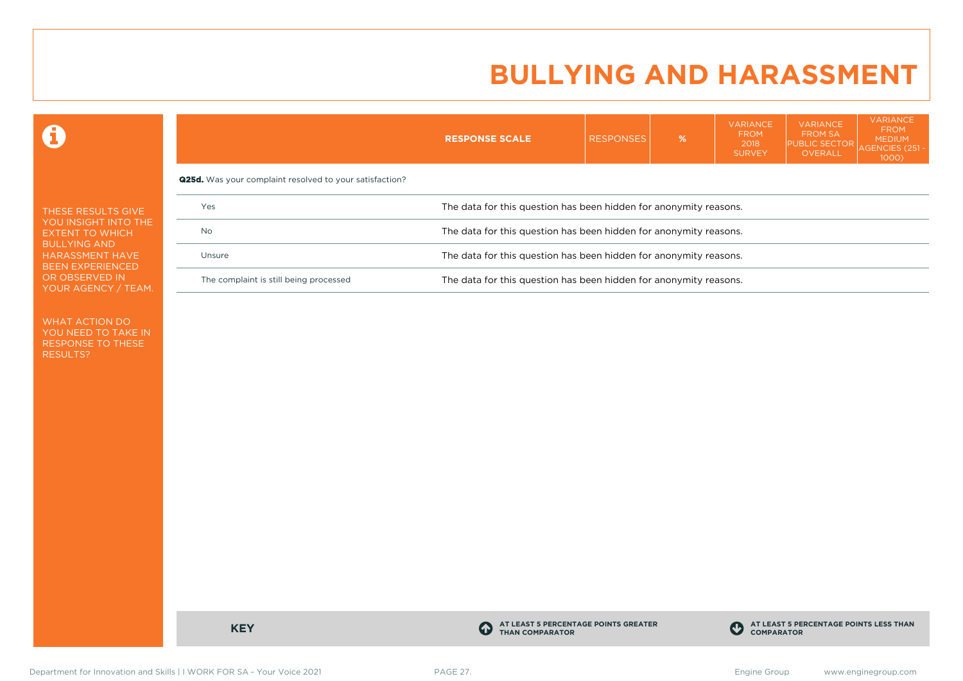VARIANCE

VARIANCE

VARIANCE

 $\mathbf \Omega$ 

|                                                                          |                                                                | <b>RESPONSE SCALE</b>                                             | <b>RESPONSES</b> | % | .<br><b>FROM</b><br>2018<br><b>SURVEY</b> | . <del>.</del><br><b>FROM SA</b><br><b>PUBLIC SECTOR</b><br><b>OVERALL</b> | <b>FROM</b><br><b>MEDIUM</b><br>AGENCIES (251 $\cdot$<br>$1000$ ) |  |  |
|--------------------------------------------------------------------------|----------------------------------------------------------------|-------------------------------------------------------------------|------------------|---|-------------------------------------------|----------------------------------------------------------------------------|-------------------------------------------------------------------|--|--|
|                                                                          | <b>Q25d.</b> Was your complaint resolved to your satisfaction? |                                                                   |                  |   |                                           |                                                                            |                                                                   |  |  |
| THESE RESULTS GIVE                                                       | Yes                                                            | The data for this question has been hidden for anonymity reasons. |                  |   |                                           |                                                                            |                                                                   |  |  |
| YOU INSIGHT INTO THE<br><b>EXTENT TO WHICH</b>                           | No                                                             | The data for this question has been hidden for anonymity reasons. |                  |   |                                           |                                                                            |                                                                   |  |  |
| <b>BULLYING AND</b><br><b>HARASSMENT HAVE</b><br><b>BEEN EXPERIENCED</b> | Unsure                                                         | The data for this question has been hidden for anonymity reasons. |                  |   |                                           |                                                                            |                                                                   |  |  |
| OR OBSERVED IN<br>YOUR AGENCY / TEAM.                                    | The complaint is still being processed                         | The data for this question has been hidden for anonymity reasons. |                  |   |                                           |                                                                            |                                                                   |  |  |

WHAT ACTION DO YOU NEED TO TAKE IN RESPONSE TO THESE RESULTS?

**KEY C** 

**AT LEAST 5 PERCENTAGE POINTS GREATER THAN COMPARATOR**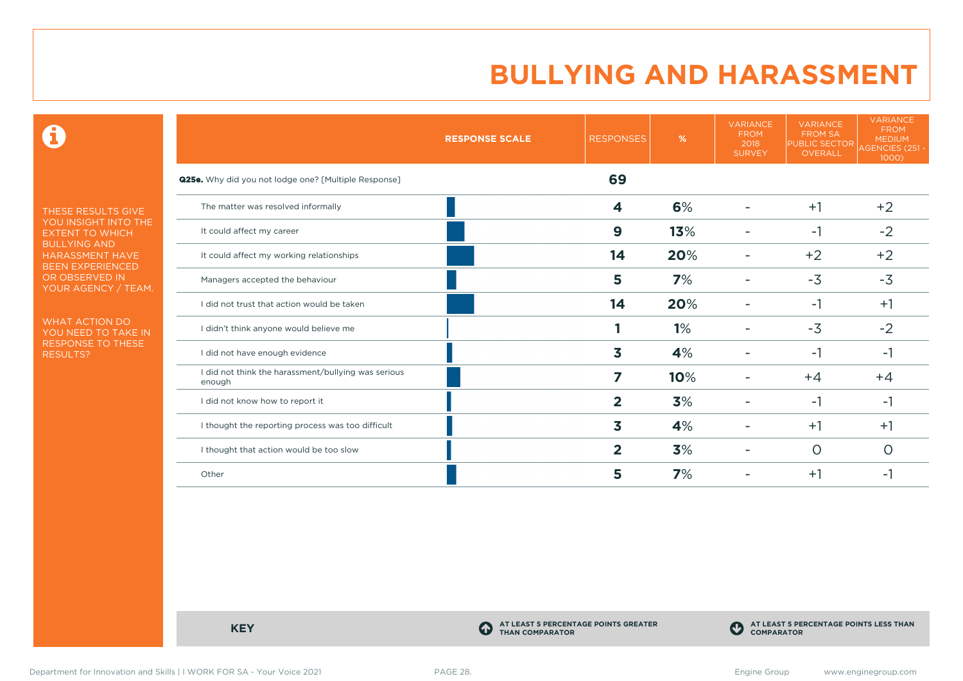$\mathbf \Theta$ 

THESE RESULTS GIVE YOU INSIGHT INTO THE EXTENT TO WHICH BULLYING AND HARASSMENT HAVE BEEN EXPERIENCED OR OBSERVED IN YOUR AGENCY / TEAM.

WHAT ACTION DO YOU NEED TO TAKE IN RESPONSE TO THESE RESULTS?

|                                                               | <b>RESPONSE SCALE</b> | <b>RESPONSES</b> | %   | <b>VARIANCE</b><br><b>FROM</b><br>2018<br><b>SURVEY</b> | <b>VARIANCE</b><br><b>FROM SA</b><br>PUBLIC SECTOR<br>OVERALL | <b>VARIANCE</b><br><b>FROM</b><br><b>MEDIUM</b><br>AGENCIES (251 -<br>1000) |
|---------------------------------------------------------------|-----------------------|------------------|-----|---------------------------------------------------------|---------------------------------------------------------------|-----------------------------------------------------------------------------|
| <b>Q25e.</b> Why did you not lodge one? [Multiple Response]   |                       | 69               |     |                                                         |                                                               |                                                                             |
| The matter was resolved informally                            |                       | 4                | 6%  |                                                         | $+1$                                                          | $+2$                                                                        |
| It could affect my career                                     |                       | $\boldsymbol{9}$ | 13% |                                                         | $-1$                                                          | $-2$                                                                        |
| It could affect my working relationships                      |                       | 14               | 20% |                                                         | $+2$                                                          | $+2$                                                                        |
| Managers accepted the behaviour                               |                       | 5                | 7%  |                                                         | $-3$                                                          | $-3$                                                                        |
| I did not trust that action would be taken                    |                       | 14               | 20% |                                                         | $-1$                                                          | $+1$                                                                        |
| I didn't think anyone would believe me                        |                       |                  | 1%  |                                                         | $-3$                                                          | $-2$                                                                        |
| I did not have enough evidence                                |                       | 3                | 4%  |                                                         | $-1$                                                          | -1                                                                          |
| I did not think the harassment/bullying was serious<br>enough |                       | 7                | 10% |                                                         | $+4$                                                          | $+4$                                                                        |
| I did not know how to report it                               |                       | $\mathbf{2}$     | 3%  |                                                         | $-1$                                                          | -1                                                                          |
| I thought the reporting process was too difficult             |                       | 3                | 4%  |                                                         | $+1$                                                          | $+1$                                                                        |
| I thought that action would be too slow                       |                       | $\overline{2}$   | 3%  |                                                         | $\circ$                                                       | O                                                                           |
| Other                                                         |                       | 5                | 7%  |                                                         | $+1$                                                          | -1                                                                          |

**KEY C** 

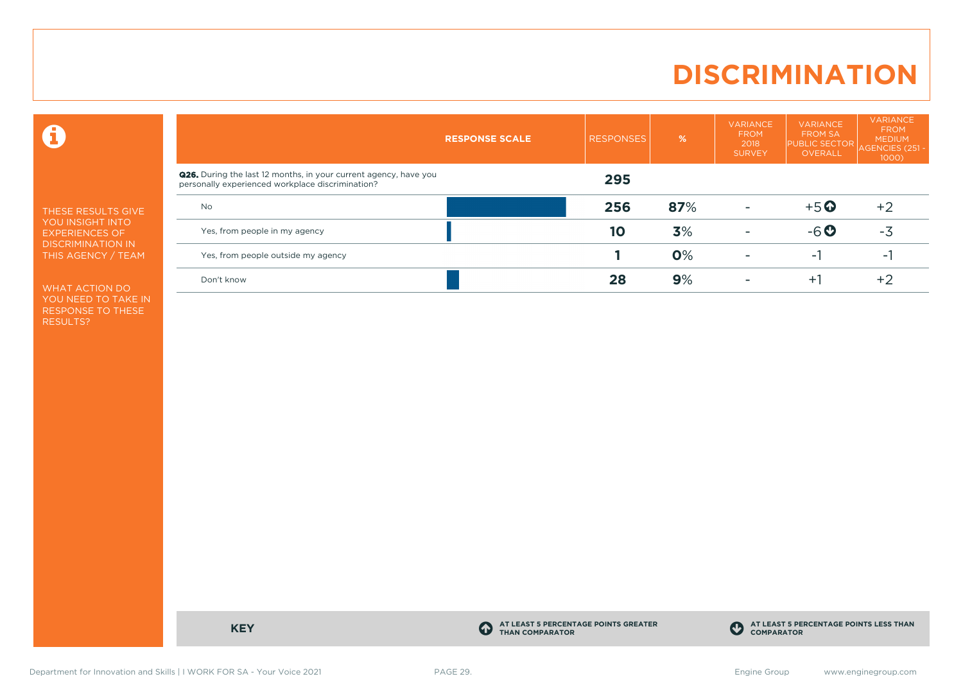# **DISCRIMINATION**

 $\mathbf \Omega$ 

THESE RESULTS GIVE YOU INSIGHT INTO EXPERIENCES OF DISCRIMINATION IN THIS AGENCY / TEAM

WHAT ACTION DO YOU NEED TO TAKE IN RESPONSE TO THESE RESULTS?

|                                                                                                                             | <b>RESPONSE SCALE</b> | <b>RESPONSES</b> | $\frac{9}{6}$ | <b>VARIANCE</b><br><b>FROM</b><br>2018<br><b>SURVEY</b> | <b>VARIANCE</b><br><b>FROM SA</b><br><b>PUBLIC SECTOR</b><br><b>OVERALL</b> | <b>VARIANCE</b><br><b>FROM</b><br><b>MEDIUM</b><br><b>AGENCIES (251</b><br>1000) |
|-----------------------------------------------------------------------------------------------------------------------------|-----------------------|------------------|---------------|---------------------------------------------------------|-----------------------------------------------------------------------------|----------------------------------------------------------------------------------|
| <b>Q26.</b> During the last 12 months, in your current agency, have you<br>personally experienced workplace discrimination? |                       | 295              |               |                                                         |                                                                             |                                                                                  |
| <b>No</b>                                                                                                                   |                       | 256              | 87%           |                                                         | $+5$ <sup>O</sup>                                                           | $+2$                                                                             |
| Yes, from people in my agency                                                                                               |                       | 10               | 3%            | $\overline{\phantom{a}}$                                | $-6o$                                                                       | $-3$                                                                             |
| Yes, from people outside my agency                                                                                          |                       |                  | 0%            |                                                         | ÷.                                                                          | $\overline{\phantom{a}}$                                                         |
| Don't know                                                                                                                  |                       | 28               | 9%            |                                                         | $+1$                                                                        | $+2$                                                                             |

**KEY C** 

**AT LEAST 5 PERCENTAGE POINTS GREATER THAN COMPARATOR**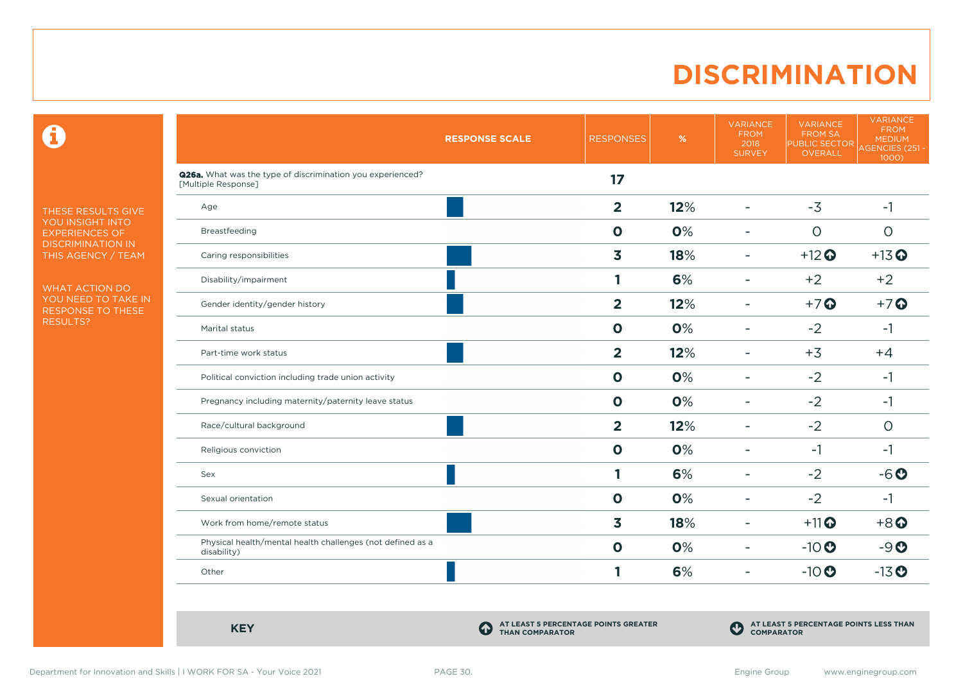# **DISCRIMINATION**

 $\mathbf \Theta$ 

THESE RESULTS GIVE YOU INSIGHT INTO EXPERIENCES OF DISCRIMINATION IN THIS AGENCY / TEAM

WHAT ACTION DO YOU NEED TO TAKE IN RESPONSE TO THESE RESULTS?

|                                                                                          | <b>RESPONSE SCALE</b> | <b>RESPONSES</b>        | %   | <b>VARIANCE</b><br><b>FROM</b><br>2018<br><b>SURVEY</b> | <b>VARIANCE</b><br><b>FROM SA</b><br><b>PUBLIC SECTOR</b><br>OVERALL | <b>VARIANCE</b><br><b>FROM</b><br><b>MEDIUM</b><br>AGENCIES (251 -<br>1000) |
|------------------------------------------------------------------------------------------|-----------------------|-------------------------|-----|---------------------------------------------------------|----------------------------------------------------------------------|-----------------------------------------------------------------------------|
| <b>Q26a.</b> What was the type of discrimination you experienced?<br>[Multiple Response] |                       | 17                      |     |                                                         |                                                                      |                                                                             |
| Age                                                                                      |                       | $\overline{2}$          | 12% | $\overline{\phantom{0}}$                                | $-3$                                                                 | $-1$                                                                        |
| Breastfeeding                                                                            |                       | $\mathbf 0$             | 0%  | $\overline{\phantom{a}}$                                | $\circ$                                                              | $\circ$                                                                     |
| Caring responsibilities                                                                  |                       | $\overline{\mathbf{3}}$ | 18% | $\blacksquare$                                          | $+12$ <sup>O</sup>                                                   | $+13$ <sup>O</sup>                                                          |
| Disability/impairment                                                                    |                       | 1                       | 6%  | ÷                                                       | $+2$                                                                 | $+2$                                                                        |
| Gender identity/gender history                                                           |                       | $\overline{2}$          | 12% | ÷                                                       | $+7$ <sup>O</sup>                                                    | $+7$ $\odot$                                                                |
| Marital status                                                                           |                       | $\mathbf 0$             | 0%  | $\blacksquare$                                          | $-2$                                                                 | $-1$                                                                        |
| Part-time work status                                                                    |                       | $\overline{2}$          | 12% | $\overline{\phantom{a}}$                                | $+3$                                                                 | $+4$                                                                        |
| Political conviction including trade union activity                                      |                       | $\mathbf 0$             | 0%  | $\overline{\phantom{0}}$                                | $-2$                                                                 | $-1$                                                                        |
| Pregnancy including maternity/paternity leave status                                     |                       | $\mathbf{o}$            | 0%  | $\overline{\phantom{0}}$                                | $-2$                                                                 | $-1$                                                                        |
| Race/cultural background                                                                 |                       | $\overline{2}$          | 12% |                                                         | $-2$                                                                 | $\circ$                                                                     |
| Religious conviction                                                                     |                       | $\mathbf 0$             | 0%  | $\overline{\phantom{0}}$                                | $-1$                                                                 | $-1$                                                                        |
| Sex                                                                                      |                       | 1                       | 6%  | ۰                                                       | $-2$                                                                 | $-6o$                                                                       |
| Sexual orientation                                                                       |                       | $\mathbf 0$             | 0%  | $\overline{\phantom{0}}$                                | $-2$                                                                 | $-1$                                                                        |
| Work from home/remote status                                                             |                       | $\overline{\mathbf{3}}$ | 18% | $\blacksquare$                                          | $+11$ <sup>O</sup>                                                   | $+8$ <sup><math>\odot</math></sup>                                          |
| Physical health/mental health challenges (not defined as a<br>disability)                |                       | $\mathbf{o}$            | 0%  | $\overline{\phantom{a}}$                                | $-10$ <sup>O</sup>                                                   | $-9O$                                                                       |
| Other                                                                                    |                       | 1                       | 6%  | ۰                                                       | $-10$                                                                | $-13$ <sup>O</sup>                                                          |

**KEY C** 

**AT LEAST 5 PERCENTAGE POINTS GREATER THAN COMPARATOR**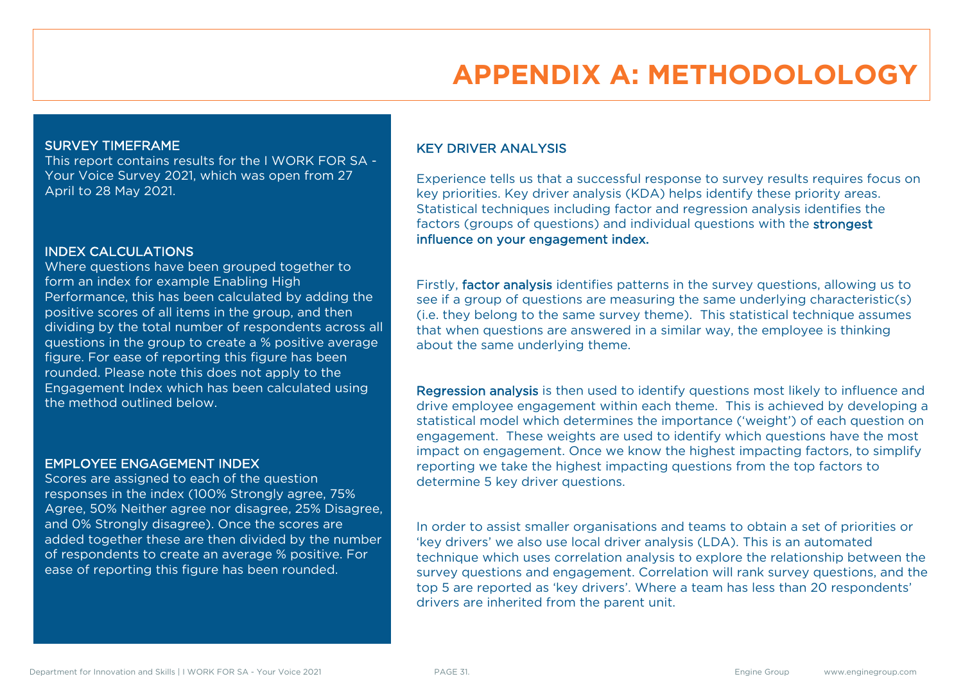# **APPENDIX A: METHODOLOLOGY**

### SURVEY TIMEFRAME

This report contains results for the I WORK FOR SA - Your Voice Survey 2021, which was open from 27 April to 28 May 2021.

#### INDEX CALCULATIONS

Where questions have been grouped together to form an index for example Enabling High Performance, this has been calculated by adding the positive scores of all items in the group, and then dividing by the total number of respondents across all questions in the group to create a % positive average figure. For ease of reporting this figure has been rounded. Please note this does not apply to the Engagement Index which has been calculated using the method outlined below.

### EMPLOYEE ENGAGEMENT INDEX

Scores are assigned to each of the question responses in the index (100% Strongly agree, 75% Agree, 50% Neither agree nor disagree, 25% Disagree, and 0% Strongly disagree). Once the scores are added together these are then divided by the number of respondents to create an average % positive. For ease of reporting this figure has been rounded.

### KEY DRIVER ANALYSIS

Experience tells us that a successful response to survey results requires focus on key priorities. Key driver analysis (KDA) helps identify these priority areas. Statistical techniques including factor and regression analysis identifies the factors (groups of questions) and individual questions with the strongest influence on your engagement index.

Firstly, factor analysis identifies patterns in the survey questions, allowing us to see if a group of questions are measuring the same underlying characteristic(s) (i.e. they belong to the same survey theme). This statistical technique assumes that when questions are answered in a similar way, the employee is thinking about the same underlying theme.

Regression analysis is then used to identify questions most likely to influence and drive employee engagement within each theme. This is achieved by developing a statistical model which determines the importance ('weight') of each question on engagement. These weights are used to identify which questions have the most impact on engagement. Once we know the highest impacting factors, to simplify reporting we take the highest impacting questions from the top factors to determine 5 key driver questions.

In order to assist smaller organisations and teams to obtain a set of priorities or 'key drivers' we also use local driver analysis (LDA). This is an automated technique which uses correlation analysis to explore the relationship between the survey questions and engagement. Correlation will rank survey questions, and the top 5 are reported as 'key drivers'. Where a team has less than 20 respondents' drivers are inherited from the parent unit.